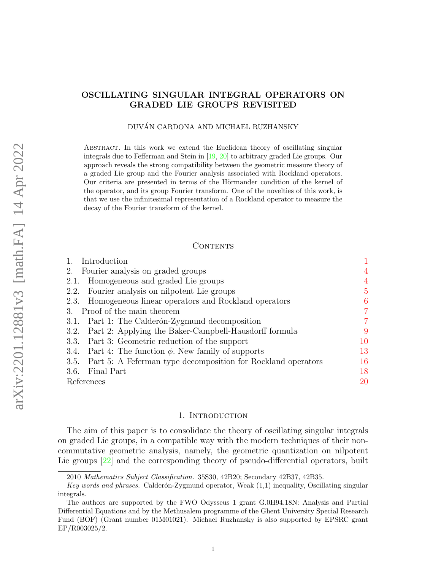# OSCILLATING SINGULAR INTEGRAL OPERATORS ON GRADED LIE GROUPS REVISITED

### DUVAN CARDONA AND MICHAEL RUZHANSKY ´

Abstract. In this work we extend the Euclidean theory of oscillating singular integrals due to Fefferman and Stein in [\[19,](#page-20-0) [20\]](#page-20-1) to arbitrary graded Lie groups. Our approach reveals the strong compatibility between the geometric measure theory of a graded Lie group and the Fourier analysis associated with Rockland operators. Our criteria are presented in terms of the Hörmander condition of the kernel of the operator, and its group Fourier transform. One of the novelties of this work, is that we use the infinitesimal representation of a Rockland operator to measure the decay of the Fourier transform of the kernel.

## CONTENTS

| Introduction                                                      |                 |
|-------------------------------------------------------------------|-----------------|
| Fourier analysis on graded groups<br>2.                           | 4               |
| Homogeneous and graded Lie groups<br>2.1.                         | 4               |
| Fourier analysis on nilpotent Lie groups<br>2.2.                  | $5\overline{)}$ |
| Homogeneous linear operators and Rockland operators<br>2.3.       | 6               |
| 3. Proof of the main theorem                                      | $\overline{7}$  |
| Part 1: The Calderón-Zygmund decomposition<br>3.1.                | 7               |
| Part 2: Applying the Baker-Campbell-Hausdorff formula<br>3.2.     | 9               |
| Part 3: Geometric reduction of the support<br>3.3.                | 10              |
| Part 4: The function $\phi$ . New family of supports<br>3.4.      | 13              |
| 3.5. Part 5: A Feferman type decomposition for Rockland operators | 16              |
| Final Part<br>3.6.                                                | 18              |
| References                                                        | 20              |
|                                                                   |                 |

### 1. INTRODUCTION

<span id="page-0-0"></span>The aim of this paper is to consolidate the theory of oscillating singular integrals on graded Lie groups, in a compatible way with the modern techniques of their noncommutative geometric analysis, namely, the geometric quantization on nilpotent Lie groups  $[22]$  and the corresponding theory of pseudo-differential operators, built

<sup>2010</sup> Mathematics Subject Classification. 35S30, 42B20; Secondary 42B37, 42B35.

Key words and phrases. Calderón-Zygmund operator, Weak  $(1,1)$  inequality, Oscillating singular integrals.

The authors are supported by the FWO Odysseus 1 grant G.0H94.18N: Analysis and Partial Differential Equations and by the Methusalem programme of the Ghent University Special Research Fund (BOF) (Grant number 01M01021). Michael Ruzhansky is also supported by EPSRC grant EP/R003025/2.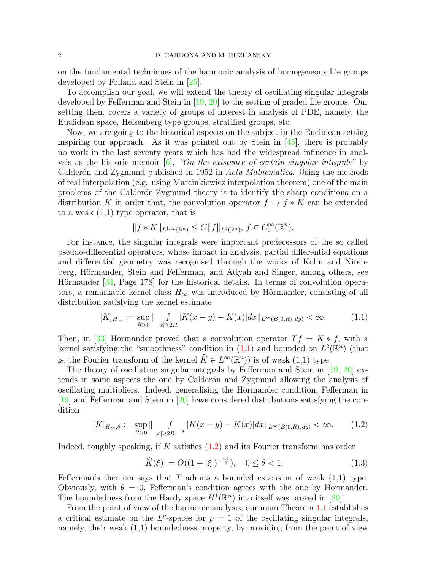on the fundamental techniques of the harmonic analysis of homogeneous Lie groups developed by Folland and Stein in [\[25\]](#page-20-3).

To accomplish our goal, we will extend the theory of oscillating singular integrals developed by Fefferman and Stein in [\[19,](#page-20-0) [20\]](#page-20-1) to the setting of graded Lie groups. Our setting then, covers a variety of groups of interest in analysis of PDE, namely, the Euclidean space, Heisenberg type groups, stratified groups, etc.

Now, we are going to the historical aspects on the subject in the Euclidean setting inspiring our approach. As it was pointed out by Stein in  $[45]$ , there is probably no work in the last seventy years which has had the widespread influence in analysis as the historic memoir  $[6]$ , "On the existence of certain singular integrals" by Calderón and Zygmund published in 1952 in Acta Mathematica. Using the methods of real interpolation (e.g. using Marcinkiewicz interpolation theorem) one of the main problems of the Calder´on-Zygmund theory is to identify the sharp conditions on a distribution K in order that, the convolution operator  $f \mapsto f * K$  can be extended to a weak  $(1,1)$  type operator, that is

$$
||f * K||_{L^{1,\infty}(\mathbb{R}^n)} \leq C||f||_{L^1(\mathbb{R}^n)}, \ f \in C_0^{\infty}(\mathbb{R}^n).
$$

For instance, the singular integrals were important predecessors of the so called pseudo-differential operators, whose impact in analysis, partial differential equations and differential geometry was recognised through the works of Kohn and Nirenberg, Hörmander, Stein and Fefferman, and Atiyah and Singer, among others, see Hörmander  $[34, Page 178]$  $[34, Page 178]$  for the historical details. In terms of convolution operators, a remarkable kernel class  $H_{\infty}$  was introduced by Hörmander, consisting of all distribution satisfying the kernel estimate

<span id="page-1-0"></span>
$$
[K]_{H_{\infty}} := \sup_{R>0} \|\int_{|x|\geq 2R} |K(x-y) - K(x)| dx \|_{L^{\infty}(B(0,R),\,dy)} < \infty. \tag{1.1}
$$

Then, in [\[33\]](#page-20-5) Hörmander proved that a convolution operator  $Tf = K * f$ , with a kernel satisfying the "smoothness" condition in  $(1.1)$  and bounded on  $L^2(\mathbb{R}^n)$  (that is, the Fourier transform of the kernel  $\widehat{K} \in L^{\infty}(\mathbb{R}^n)$  is of weak  $(1,1)$  type.

The theory of oscillating singular integrals by Fefferman and Stein in [\[19,](#page-20-0) [20\]](#page-20-1) extends in some aspects the one by Calderón and Zygmund allowing the analysis of oscillating multipliers. Indeed, generalising the Hörmander condition, Fefferman in [\[19\]](#page-20-0) and Fefferman and Stein in [\[20\]](#page-20-1) have considered distributions satisfying the condition

<span id="page-1-1"></span>
$$
[K]_{H_{\infty},\theta} := \sup_{R>0} \|\int_{|x|\geq 2R^{1-\theta}} |K(x-y) - K(x)| dx \|_{L^{\infty}(B(0,R),\,dy)} < \infty. \tag{1.2}
$$

Indeed, roughly speaking, if  $K$  satisfies  $(1.2)$  and its Fourier transform has order

$$
|\widehat{K}(\xi)| = O((1+|\xi|)^{-\frac{n\theta}{2}}), \quad 0 \le \theta < 1,\tag{1.3}
$$

Fefferman's theorem says that T admits a bounded extension of weak  $(1,1)$  type. Obviously, with  $\theta = 0$ , Fefferman's condition agrees with the one by Hörmander. The boundedness from the Hardy space  $H^1(\mathbb{R}^n)$  into itself was proved in [\[20\]](#page-20-1).

From the point of view of the harmonic analysis, our main Theorem [1.1](#page-2-0) establishes a critical estimate on the  $L^p$ -spaces for  $p = 1$  of the oscillating singular integrals, namely, their weak (1,1) boundedness property, by providing from the point of view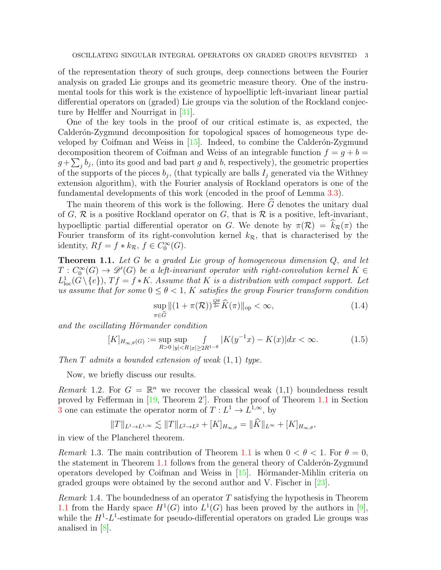of the representation theory of such groups, deep connections between the Fourier analysis on graded Lie groups and its geometric measure theory. One of the instrumental tools for this work is the existence of hypoelliptic left-invariant linear partial differential operators on (graded) Lie groups via the solution of the Rockland conjecture by Helffer and Nourrigat in [\[31\]](#page-20-6).

One of the key tools in the proof of our critical estimate is, as expected, the Calderón-Zygmund decomposition for topological spaces of homogeneous type developed by Coifman and Weiss in  $[15]$ . Indeed, to combine the Calderón-Zygmund decomposition theorem of Coifman and Weiss of an integrable function  $f = q + b =$  $g + \sum_j b_j$ , (into its good and bad part g and b, respectively), the geometric properties of the supports of the pieces  $b_j$ , (that typically are balls  $I_j$  generated via the Withney extension algorithm), with the Fourier analysis of Rockland operators is one of the fundamental developments of this work (encoded in the proof of Lemma [3.3\)](#page-15-1).

The main theorem of this work is the following. Here  $\widehat{G}$  denotes the unitary dual of G,  $\mathcal R$  is a positive Rockland operator on G, that is  $\mathcal R$  is a positive, left-invariant, hypoelliptic partial differential operator on G. We denote by  $\pi(\mathcal{R}) = k_{\mathcal{R}}(\pi)$  the Fourier transform of its right-convolution kernel  $k_{\mathcal{R}}$ , that is characterised by the identity,  $Rf = f * k_{\mathcal{R}}, f \in C_0^{\infty}(G)$ .

<span id="page-2-0"></span>**Theorem 1.1.** Let G be a graded Lie group of homogeneous dimension  $Q$ , and let  $T: C_0^{\infty}(G) \to \mathscr{D}'(G)$  be a left-invariant operator with right-convolution kernel  $K \in$  $L^1_{loc}(G \setminus \{e\}),$   $Tf = f * K$ . Assume that K is a distribution with compact support. Let us assume that for some  $0 \le \theta < 1$ , K satisfies the group Fourier transform condition

<span id="page-2-2"></span>
$$
\sup_{\pi \in \widehat{G}} \|(1 + \pi(\mathcal{R}))^{\frac{Q\theta}{2\nu}} \widehat{K}(\pi)\|_{\text{op}} < \infty, \tag{1.4}
$$

and the oscillating Hörmander condition

<span id="page-2-1"></span>
$$
[K]_{H_{\infty,\theta}(G)} := \sup_{R>0} \sup_{|y| < R} \int_{|x| \ge 2R^{1-\theta}} |K(y^{-1}x) - K(x)| dx < \infty. \tag{1.5}
$$

Then  $T$  admits a bounded extension of weak  $(1, 1)$  type.

Now, we briefly discuss our results.

Remark 1.2. For  $G = \mathbb{R}^n$  we recover the classical weak  $(1,1)$  boundedness result proved by Fefferman in [\[19,](#page-20-0) Theorem 2']. From the proof of Theorem [1.1](#page-2-0) in Section [3](#page-6-0) one can estimate the operator norm of  $T: L^1 \to L^{1,\infty}$ , by

$$
||T||_{L^{1}\to L^{1,\infty}} \lesssim ||T||_{L^{2}\to L^{2}} + [K]_{H_{\infty,\theta}} = ||\widehat{K}||_{L^{\infty}} + [K]_{H_{\infty,\theta}},
$$

in view of the Plancherel theorem.

Remark 1.3. The main contribution of Theorem [1.1](#page-2-0) is when  $0 < \theta < 1$ . For  $\theta = 0$ , the statement in Theorem  $1.1$  follows from the general theory of Calderón-Zygmund operators developed by Coifman and Weiss in  $|15|$ . Hörmander-Mihlin criteria on graded groups were obtained by the second author and V. Fischer in [\[23\]](#page-20-8).

*Remark* 1.4. The boundedness of an operator T satisfying the hypothesis in Theorem [1.1](#page-2-0) from the Hardy space  $H^1(G)$  into  $L^1(G)$  has been proved by the authors in [\[9\]](#page-20-9), while the  $H^1$ - $L^1$ -estimate for pseudo-differential operators on graded Lie groups was analised in [\[8\]](#page-20-10).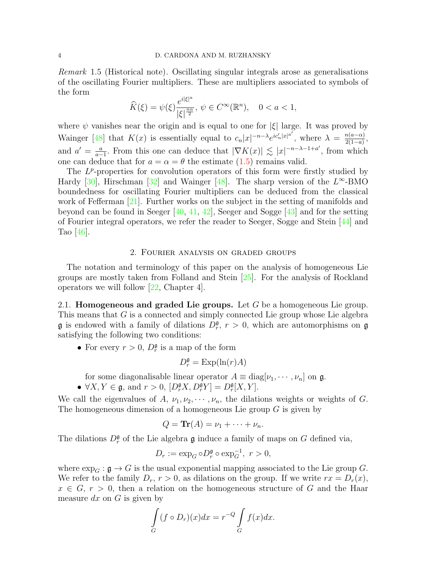Remark 1.5 (Historical note). Oscillating singular integrals arose as generalisations of the oscillating Fourier multipliers. These are multipliers associated to symbols of the form

$$
\widehat{K}(\xi) = \psi(\xi) \frac{e^{i|\xi|^a}}{|\xi|^{\frac{n\alpha}{2}}}, \ \psi \in C^{\infty}(\mathbb{R}^n), \quad 0 < a < 1,
$$

where  $\psi$  vanishes near the origin and is equal to one for  $|\xi|$  large. It was proved by Wainger [\[48\]](#page-21-1) that  $K(x)$  is essentially equal to  $c_n|x|^{-n-\lambda}e^{ic'_n|x|^{a'}},$  where  $\lambda = \frac{n(a-\alpha)}{2(1-a)}$  $\frac{n(a-\alpha)}{2(1-a)},$ and  $a' = \frac{a}{a}$  $\frac{a}{a-1}$ . From this one can deduce that  $|\nabla K(x)| \lesssim |x|^{-n-\lambda-1+a'}$ , from which one can deduce that for  $a = \alpha = \theta$  the estimate [\(1.5\)](#page-2-1) remains valid.

The  $L^p$ -properties for convolution operators of this form were firstly studied by Hardy [\[30\]](#page-20-11), Hirschman [\[32\]](#page-20-12) and Wainger [\[48\]](#page-21-1). The sharp version of the  $L^{\infty}$ -BMO boundedness for oscillating Fourier multipliers can be deduced from the classical work of Fefferman [\[21\]](#page-20-13). Further works on the subject in the setting of manifolds and beyond can be found in Seeger [\[40,](#page-21-2) [41,](#page-21-3) [42\]](#page-21-4), Seeger and Sogge [\[43\]](#page-21-5) and for the setting of Fourier integral operators, we refer the reader to Seeger, Sogge and Stein [\[44\]](#page-21-6) and Tao  $|46|$ .

#### 2. Fourier analysis on graded groups

<span id="page-3-0"></span>The notation and terminology of this paper on the analysis of homogeneous Lie groups are mostly taken from Folland and Stein [\[25\]](#page-20-3). For the analysis of Rockland operators we will follow [\[22,](#page-20-2) Chapter 4].

<span id="page-3-1"></span>2.1. **Homogeneous and graded Lie groups.** Let  $G$  be a homogeneous Lie group. This means that G is a connected and simply connected Lie group whose Lie algebra  $\mathfrak g$  is endowed with a family of dilations  $D_r^{\mathfrak g}, r > 0$ , which are automorphisms on  $\mathfrak g$ satisfying the following two conditions:

• For every  $r > 0$ ,  $D_r^{\mathfrak{g}}$  is a map of the form

$$
D_r^{\mathfrak{g}} = \operatorname{Exp}(\ln(r)A)
$$

for some diagonalisable linear operator  $A \equiv \text{diag}[\nu_1, \cdots, \nu_n]$  on  $\mathfrak{g}$ .

•  $\forall X, Y \in \mathfrak{g}$ , and  $r > 0$ ,  $[D_r^{\mathfrak{g}} X, D_r^{\mathfrak{g}} Y] = D_r^{\mathfrak{g}} [X, Y]$ .

We call the eigenvalues of A,  $\nu_1, \nu_2, \cdots, \nu_n$ , the dilations weights or weights of G. The homogeneous dimension of a homogeneous Lie group  $G$  is given by

$$
Q = \text{Tr}(A) = \nu_1 + \cdots + \nu_n.
$$

The dilations  $D_r^{\mathfrak{g}}$  of the Lie algebra  $\mathfrak g$  induce a family of maps on G defined via,

$$
D_r := \exp_G \circ D_r^{\mathfrak{g}} \circ \exp_G^{-1}, \ r > 0,
$$

where  $\exp_G : \mathfrak{g} \to G$  is the usual exponential mapping associated to the Lie group G. We refer to the family  $D_r$ ,  $r > 0$ , as dilations on the group. If we write  $rx = D_r(x)$ ,  $x \in G$ ,  $r > 0$ , then a relation on the homogeneous structure of G and the Haar measure  $dx$  on  $G$  is given by

$$
\int\limits_G (f \circ D_r)(x) dx = r^{-Q} \int\limits_G f(x) dx.
$$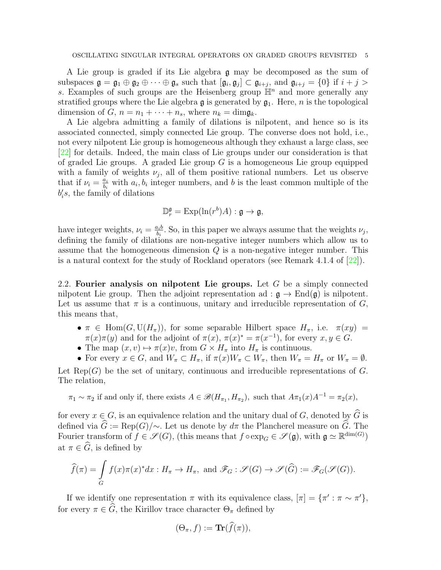A Lie group is graded if its Lie algebra g may be decomposed as the sum of subspaces  $\mathfrak{g} = \mathfrak{g}_1 \oplus \mathfrak{g}_2 \oplus \cdots \oplus \mathfrak{g}_s$  such that  $[\mathfrak{g}_i, \mathfrak{g}_j] \subset \mathfrak{g}_{i+j}$ , and  $\mathfrak{g}_{i+j} = \{0\}$  if  $i + j > j$ s. Examples of such groups are the Heisenberg group  $\mathbb{H}^n$  and more generally any stratified groups where the Lie algebra  $\mathfrak g$  is generated by  $\mathfrak g_1$ . Here, *n* is the topological dimension of G,  $n = n_1 + \cdots + n_s$ , where  $n_k = \text{dim} \mathfrak{g}_k$ .

A Lie algebra admitting a family of dilations is nilpotent, and hence so is its associated connected, simply connected Lie group. The converse does not hold, i.e., not every nilpotent Lie group is homogeneous although they exhaust a large class, see [\[22\]](#page-20-2) for details. Indeed, the main class of Lie groups under our consideration is that of graded Lie groups. A graded Lie group  $G$  is a homogeneous Lie group equipped with a family of weights  $\nu_j$ , all of them positive rational numbers. Let us observe that if  $\nu_i = \frac{a_i}{b_i}$  $\frac{a_i}{b_i}$  with  $a_i, b_i$  integer numbers, and b is the least common multiple of the  $b_i$ , the family of dilations

$$
\mathbb{D}_r^{\mathfrak{g}} = \mathrm{Exp}(\ln(r^b)A) : \mathfrak{g} \to \mathfrak{g},
$$

have integer weights,  $\nu_i = \frac{a_i b}{b_i}$  $\frac{u_i b}{b_i}$ . So, in this paper we always assume that the weights  $\nu_j$ , defining the family of dilations are non-negative integer numbers which allow us to assume that the homogeneous dimension Q is a non-negative integer number. This is a natural context for the study of Rockland operators (see Remark 4.1.4 of [\[22\]](#page-20-2)).

<span id="page-4-0"></span>2.2. Fourier analysis on nilpotent Lie groups. Let  $G$  be a simply connected nilpotent Lie group. Then the adjoint representation ad :  $\mathfrak{g} \to \text{End}(\mathfrak{g})$  is nilpotent. Let us assume that  $\pi$  is a continuous, unitary and irreducible representation of  $G$ , this means that,

- $\pi \in \text{Hom}(G, \text{U}(H_{\pi}))$ , for some separable Hilbert space  $H_{\pi}$ , i.e.  $\pi(xy)$  =  $\pi(x)\pi(y)$  and for the adjoint of  $\pi(x)$ ,  $\pi(x)^* = \pi(x^{-1})$ , for every  $x, y \in G$ .
- The map  $(x, v) \mapsto \pi(x)v$ , from  $G \times H_{\pi}$  into  $H_{\pi}$  is continuous.
- For every  $x \in G$ , and  $W_\pi \subset H_\pi$ , if  $\pi(x)W_\pi \subset W_\pi$ , then  $W_\pi = H_\pi$  or  $W_\pi = \emptyset$ .

Let  $\text{Rep}(G)$  be the set of unitary, continuous and irreducible representations of G. The relation,

 $\pi_1 \sim \pi_2$  if and only if, there exists  $A \in \mathscr{B}(H_{\pi_1}, H_{\pi_2})$ , such that  $A_{\pi_1}(x)A^{-1} = \pi_2(x)$ ,

for every  $x \in G$ , is an equivalence relation and the unitary dual of G, denoted by  $\widehat{G}$  is defined via  $\widehat{G} := \text{Rep}(G)/\sim$ . Let us denote by  $d\pi$  the Plancherel measure on  $\widetilde{G}$ . The Fourier transform of  $f \in \mathscr{S}(G)$ , (this means that  $f \circ \exp_G \in \mathscr{S}(\mathfrak{g})$ , with  $\mathfrak{g} \simeq \mathbb{R}^{\dim(G)}$ ) at  $\pi \in \widehat{G}$ , is defined by

$$
\widehat{f}(\pi) = \int_{G} f(x)\pi(x)^{*} dx : H_{\pi} \to H_{\pi}, \text{ and } \mathscr{F}_{G} : \mathscr{S}(G) \to \mathscr{S}(\widehat{G}) := \mathscr{F}_{G}(\mathscr{S}(G)).
$$

If we identify one representation  $\pi$  with its equivalence class,  $[\pi] = {\pi' : \pi \sim \pi'}$ , for every  $\pi \in \hat{G}$ , the Kirillov trace character  $\Theta_{\pi}$  defined by

$$
(\Theta_{\pi},f):=\mathbf{Tr}(f(\pi)),
$$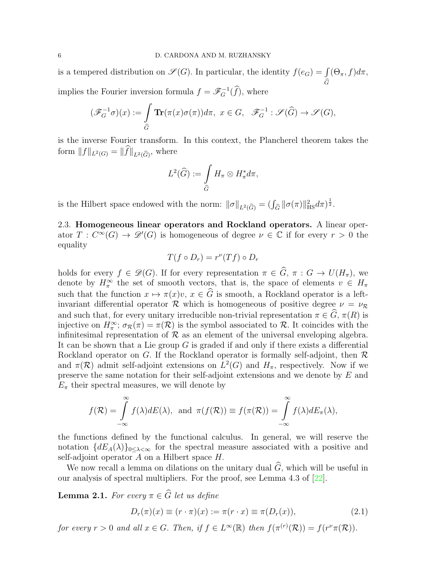is a tempered distribution on  $\mathscr{S}(G)$ . In particular, the identity  $f(e_G) = \int (\Theta_\pi, f) d\pi$ ,  $\boldsymbol{G}$ implies the Fourier inversion formula  $f = \mathscr{F}_G^{-1}(\widehat{f})$ , where

$$
(\mathscr{F}_G^{-1}\sigma)(x) := \int\limits_{\widehat{G}} \mathbf{Tr}(\pi(x)\sigma(\pi))d\pi, \ x \in G, \ \ \mathscr{F}_G^{-1} : \mathscr{S}(\widehat{G}) \to \mathscr{S}(G),
$$

is the inverse Fourier transform. In this context, the Plancherel theorem takes the form  $||f||_{L^2(G)} = ||f||_{L^2(\widehat{G})}$ , where

$$
L^2(\widehat{G}) := \int\limits_{\widehat{G}} H_\pi \otimes H_\pi^* d\pi,
$$

is the Hilbert space endowed with the norm:  $\|\sigma\|_{L^2(\widehat{G})} = (\int_{\widehat{G}} \|\sigma(\pi)\|_{\text{HS}}^2 d\pi)^{\frac{1}{2}}$ .

<span id="page-5-0"></span>2.3. Homogeneous linear operators and Rockland operators. A linear operator  $T: C^{\infty}(G) \to \mathscr{D}'(G)$  is homogeneous of degree  $\nu \in \mathbb{C}$  if for every  $r > 0$  the equality

$$
T(f \circ D_r) = r^{\nu}(Tf) \circ D_r
$$

holds for every  $f \in \mathscr{D}(G)$ . If for every representation  $\pi \in G$ ,  $\pi : G \to U(H_{\pi})$ , we denote by  $H_{\pi}^{\infty}$  the set of smooth vectors, that is, the space of elements  $v \in H_{\pi}$ such that the function  $x \mapsto \pi(x)v, x \in \widehat{G}$  is smooth, a Rockland operator is a leftinvariant differential operator R which is homogeneous of positive degree  $\nu = \nu_R$ and such that, for every unitary irreducible non-trivial representation  $\pi \in \widehat{G}$ ,  $\pi(R)$  is injective on  $H_{\pi}^{\infty}$ ;  $\sigma_{\mathcal{R}}(\pi) = \pi(\mathcal{R})$  is the symbol associated to  $\mathcal{R}$ . It coincides with the infinitesimal representation of  $R$  as an element of the universal enveloping algebra. It can be shown that a Lie group  $G$  is graded if and only if there exists a differential Rockland operator on G. If the Rockland operator is formally self-adjoint, then  $\mathcal R$ and  $\pi(\mathcal{R})$  admit self-adjoint extensions on  $L^2(G)$  and  $H_{\pi}$ , respectively. Now if we preserve the same notation for their self-adjoint extensions and we denote by E and  $E_{\pi}$  their spectral measures, we will denote by

$$
f(\mathcal{R}) = \int_{-\infty}^{\infty} f(\lambda) dE(\lambda), \text{ and } \pi(f(\mathcal{R})) \equiv f(\pi(\mathcal{R})) = \int_{-\infty}^{\infty} f(\lambda) dE_{\pi}(\lambda),
$$

the functions defined by the functional calculus. In general, we will reserve the notation  ${dE_A(\lambda)}_{0 \leq \lambda \leq \infty}$  for the spectral measure associated with a positive and self-adjoint operator  $A$  on a Hilbert space  $H$ .

We now recall a lemma on dilations on the unitary dual  $\widehat{G}$ , which will be useful in our analysis of spectral multipliers. For the proof, see Lemma 4.3 of [\[22\]](#page-20-2).

**Lemma 2.1.** For every  $\pi \in \widehat{G}$  let us define

<span id="page-5-1"></span>
$$
D_r(\pi)(x) \equiv (r \cdot \pi)(x) := \pi(r \cdot x) \equiv \pi(D_r(x)), \tag{2.1}
$$

for every  $r > 0$  and all  $x \in G$ . Then, if  $f \in L^{\infty}(\mathbb{R})$  then  $f(\pi^{(r)}(\mathcal{R})) = f(r^{\nu} \pi(\mathcal{R}))$ .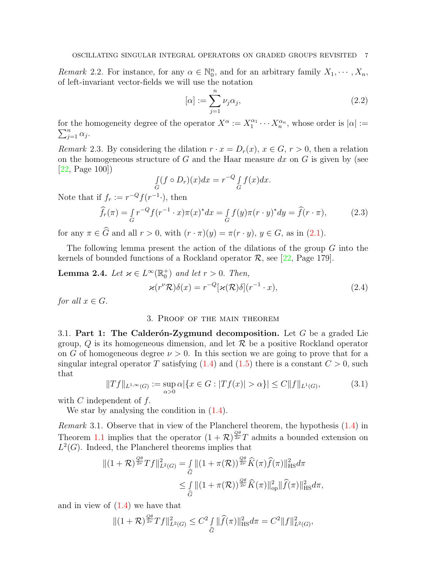Remark 2.2. For instance, for any  $\alpha \in \mathbb{N}_0^n$ , and for an arbitrary family  $X_1, \dots, X_n$ , of left-invariant vector-fields we will use the notation

$$
[\alpha] := \sum_{j=1}^{n} \nu_j \alpha_j,
$$
\n(2.2)

 $(2.4)$ 

for the homogeneity degree of the operator  $X^{\alpha} := X_1^{\alpha_1} \cdots X_n^{\alpha_n}$ , whose order is  $|\alpha| := \sum_{i=1}^n \alpha_i$ .  $_{j=1}^n \alpha_j$ .

<span id="page-6-5"></span>Remark 2.3. By considering the dilation  $r \cdot x = D_r(x)$ ,  $x \in G$ ,  $r > 0$ , then a relation on the homogeneous structure of G and the Haar measure  $dx$  on G is given by (see [\[22,](#page-20-2) Page 100])

$$
\int_G (f \circ D_r)(x) dx = r^{-Q} \int_G f(x) dx.
$$

Note that if  $f_r := r^{-Q} f(r^{-1} \cdot)$ , then

<span id="page-6-4"></span>
$$
\widehat{f}_r(\pi) = \int_G r^{-Q} f(r^{-1} \cdot x) \pi(x)^* dx = \int_G f(y) \pi(r \cdot y)^* dy = \widehat{f}(r \cdot \pi),\tag{2.3}
$$

for any  $\pi \in \widehat{G}$  and all  $r > 0$ , with  $(r \cdot \pi)(y) = \pi(r \cdot y)$ ,  $y \in G$ , as in [\(2.1\)](#page-5-1).

The following lemma present the action of the dilations of the group  $G$  into the kernels of bounded functions of a Rockland operator  $\mathcal{R}$ , see [\[22,](#page-20-2) Page 179].

**Lemma 2.4.** Let  $\varkappa \in L^{\infty}(\mathbb{R}_{0}^{+})$  and let  $r > 0$ . Then,  $\varkappa(r^{\nu}\mathcal{R})\delta(x) = r^{-Q}[\varkappa(\mathcal{R})\delta](r^{-1})$ 

<span id="page-6-0"></span>for all  $x \in G$ .

### 3. Proof of the main theorem

<span id="page-6-1"></span>3.1. Part 1: The Calderón-Zygmund decomposition. Let  $G$  be a graded Lie group,  $Q$  is its homogeneous dimension, and let  $R$  be a positive Rockland operator on G of homogeneous degree  $\nu > 0$ . In this section we are going to prove that for a singular integral operator T satisfying  $(1.4)$  and  $(1.5)$  there is a constant  $C > 0$ , such that

<span id="page-6-2"></span>
$$
||Tf||_{L^{1,\infty}(G)} := \sup_{\alpha>0} \alpha |\{x \in G : |Tf(x)| > \alpha\}| \le C||f||_{L^{1}(G)},
$$
\n(3.1)

with  $C$  independent of  $f$ .

We star by analysing the condition in  $(1.4)$ .

<span id="page-6-3"></span>Remark 3.1. Observe that in view of the Plancherel theorem, the hypothesis [\(1.4\)](#page-2-2) in Theorem [1.1](#page-2-0) implies that the operator  $(1 + \mathcal{R})^{\frac{Q\theta}{2\nu}}T$  admits a bounded extension on  $L^2(G)$ . Indeed, the Plancherel theorems implies that

$$
\begin{split} \|(1+\mathcal{R})^{\frac{Q\theta}{2\nu}}Tf\|_{L^{2}(G)}^{2} &= \int\limits_{\widehat{G}} \|(1+\pi(\mathcal{R}))^{\frac{Q\theta}{2\nu}}\widehat{K}(\pi)\widehat{f}(\pi)\|_{\text{HS}}^{2}d\pi \\ &\leq \int\limits_{\widehat{G}} \|(1+\pi(\mathcal{R}))^{\frac{Q\theta}{2\nu}}\widehat{K}(\pi)\|_{\text{op}}^{2}\|\widehat{f}(\pi)\|_{\text{HS}}^{2}d\pi, \end{split}
$$

and in view of [\(1.4\)](#page-2-2) we have that

$$
\|(1+\mathcal{R})^{\frac{Q\theta}{2\nu}}Tf\|_{L^2(G)}^2 \leq C^2 \int\limits_{\widehat{G}} \|\widehat{f}(\pi)\|_{\text{HS}}^2 d\pi = C^2 \|f\|_{L^2(G)}^2,
$$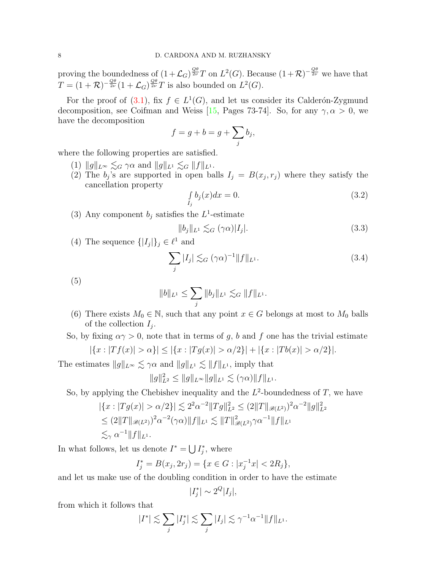proving the boundedness of  $(1+\mathcal{L}_G)^{\frac{Q\theta}{2\nu}}T$  on  $L^2(G)$ . Because  $(1+\mathcal{R})^{-\frac{Q\theta}{2\nu}}$  we have that  $T = (1 + \mathcal{R})^{-\frac{Q\theta}{2\nu}}(1 + \mathcal{L}_G)^{\frac{Q\theta}{2\nu}}T$  is also bounded on  $L^2(G)$ .

For the proof of [\(3.1\)](#page-6-2), fix  $f \in L^1(G)$ , and let us consider its Calderón-Zygmund decomposition, see Coifman and Weiss [\[15,](#page-20-7) Pages 73-74]. So, for any  $\gamma, \alpha > 0$ , we have the decomposition

$$
f = g + b = g + \sum_j b_j,
$$

where the following properties are satisfied.

- (1)  $||g||_{L^{\infty}} \lesssim_G \gamma \alpha$  and  $||g||_{L^1} \lesssim_G ||f||_{L^1}$ .
- (2) The  $b_j$ 's are supported in open balls  $I_j = B(x_j, r_j)$  where they satisfy the cancellation property

$$
\int_{I_j} b_j(x)dx = 0.
$$
\n(3.2)

(3) Any component  $b_j$  satisfies the  $L^1$ -estimate

$$
||b_j||_{L^1} \lesssim_G (\gamma \alpha)|I_j|.\tag{3.3}
$$

(4) The sequence  $\{|I_j|\}_j \in \ell^1$  and

<span id="page-7-0"></span>
$$
\sum_{j} |I_j| \lesssim_G (\gamma \alpha)^{-1} ||f||_{L^1}.
$$
\n(3.4)

(5)

$$
||b||_{L^1} \leq \sum_j ||b_j||_{L^1} \lesssim_G ||f||_{L^1}.
$$

(6) There exists  $M_0 \in \mathbb{N}$ , such that any point  $x \in G$  belongs at most to  $M_0$  balls of the collection  $I_j$ .

So, by fixing  $\alpha \gamma > 0$ , note that in terms of g, b and f one has the trivial estimate

$$
|\{x : |Tf(x)| > \alpha\}| \le |\{x : |Tg(x)| > \alpha/2\}| + |\{x : |Tb(x)| > \alpha/2\}|.
$$

The estimates  $||g||_{L^{\infty}} \lesssim \gamma \alpha$  and  $||g||_{L^{1}} \lesssim ||f||_{L^{1}}$ , imply that

$$
||g||_{L^2}^2 \le ||g||_{L^{\infty}} ||g||_{L^1} \lesssim (\gamma \alpha) ||f||_{L^1}.
$$

So, by applying the Chebishev inequality and the  $L^2$ -boundedness of T, we have

$$
|\{x : |Tg(x)| > \alpha/2\}| \lesssim 2^2 \alpha^{-2} \|Tg\|_{L^2}^2 \le (2\|T\|_{\mathscr{B}(L^2)})^2 \alpha^{-2} \|g\|_{L^2}^2
$$
  
\n
$$
\le (2\|T\|_{\mathscr{B}(L^2)})^2 \alpha^{-2} (\gamma \alpha) \|f\|_{L^1} \lesssim \|T\|_{\mathscr{B}(L^2)}^2 \gamma \alpha^{-1} \|f\|_{L^1}
$$
  
\n
$$
\lesssim_{\gamma} \alpha^{-1} \|f\|_{L^1}.
$$

In what follows, let us denote  $I^* = \bigcup I_j^*$ , where

$$
I_j^* = B(x_j, 2r_j) = \{ x \in G : |x_j^{-1}x| < 2R_j \},
$$

and let us make use of the doubling condition in order to have the estimate

$$
|I_j^*| \sim 2^Q |I_j|,
$$

from which it follows that

$$
|I^*| \lesssim \sum_j |I_j^*| \lesssim \sum_j |I_j| \lesssim \gamma^{-1} \alpha^{-1} ||f||_{L^1}.
$$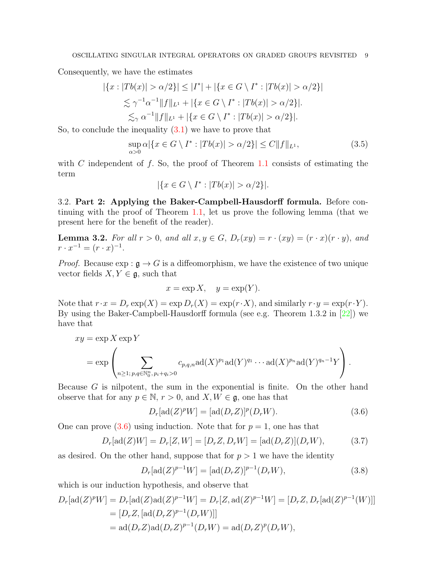Consequently, we have the estimates

$$
|\{x : |Tb(x)| > \alpha/2\}| \le |I^*| + |\{x \in G \setminus I^* : |Tb(x)| > \alpha/2\}|
$$
  

$$
\lesssim \gamma^{-1} \alpha^{-1} ||f||_{L^1} + |\{x \in G \setminus I^* : |Tb(x)| > \alpha/2\}|.
$$
  

$$
\lesssim_{\gamma} \alpha^{-1} ||f||_{L^1} + |\{x \in G \setminus I^* : |Tb(x)| > \alpha/2\}|.
$$

So, to conclude the inequality  $(3.1)$  we have to prove that

<span id="page-8-2"></span>
$$
\sup_{\alpha>0} \alpha |\{x \in G \setminus I^* : |Tb(x)| > \alpha/2\}| \le C \|f\|_{L^1},\tag{3.5}
$$

with C independent of f. So, the proof of Theorem  $1.1$  consists of estimating the term

$$
|\{x \in G \setminus I^* : |Tb(x)| > \alpha/2\}|.
$$

<span id="page-8-0"></span>3.2. Part 2: Applying the Baker-Campbell-Hausdorff formula. Before continuing with the proof of Theorem [1.1,](#page-2-0) let us prove the following lemma (that we present here for the benefit of the reader).

<span id="page-8-3"></span>**Lemma 3.2.** For all  $r > 0$ , and all  $x, y \in G$ ,  $D_r(xy) = r \cdot (xy) = (r \cdot x)(r \cdot y)$ , and  $r \cdot x^{-1} = (r \cdot x)^{-1}.$ 

*Proof.* Because  $\exp : \mathfrak{g} \to G$  is a diffeomorphism, we have the existence of two unique vector fields  $X, Y \in \mathfrak{g}$ , such that

$$
x = \exp X, \quad y = \exp(Y).
$$

Note that  $r \cdot x = D_r \exp(X) = \exp D_r(X) = \exp(r \cdot X)$ , and similarly  $r \cdot y = \exp(r \cdot Y)$ . By using the Baker-Campbell-Hausdorff formula (see e.g. Theorem 1.3.2 in [\[22\]](#page-20-2)) we have that

$$
xy = \exp X \exp Y
$$
  
= 
$$
\exp \left( \sum_{n \ge 1; p,q \in \mathbb{N}_0^n, p_i + q_i > 0} c_{p,q,n} \operatorname{ad}(X)^{p_1} \operatorname{ad}(Y)^{q_1} \cdots \operatorname{ad}(X)^{p_n} \operatorname{ad}(Y)^{q_n-1} Y \right).
$$

Because  $G$  is nilpotent, the sum in the exponential is finite. On the other hand observe that for any  $p \in \mathbb{N}$ ,  $r > 0$ , and  $X, W \in \mathfrak{g}$ , one has that

<span id="page-8-1"></span>
$$
D_r[\operatorname{ad}(Z)^p W] = [\operatorname{ad}(D_r Z)]^p(D_r W). \tag{3.6}
$$

One can prove  $(3.6)$  using induction. Note that for  $p = 1$ , one has that

$$
D_r[\text{ad}(Z)W] = D_r[Z,W] = [D_r Z, D_r W] = [\text{ad}(D_r Z)](D_r W), \quad (3.7)
$$

as desired. On the other hand, suppose that for  $p > 1$  we have the identity

$$
D_r[\text{ad}(Z)^{p-1}W] = [\text{ad}(D_r Z)]^{p-1}(D_r W),\tag{3.8}
$$

which is our induction hypothesis, and observe that

$$
D_r[\text{ad}(Z)^p W] = D_r[\text{ad}(Z) \text{ad}(Z)^{p-1} W] = D_r[Z, \text{ad}(Z)^{p-1} W] = [D_r Z, D_r[\text{ad}(Z)^{p-1}(W)]]
$$
  
=  $[D_r Z, [\text{ad}(D_r Z)^{p-1}(D_r W)]]$   
=  $\text{ad}(D_r Z) \text{ad}(D_r Z)^{p-1}(D_r W) = \text{ad}(D_r Z)^p(D_r W),$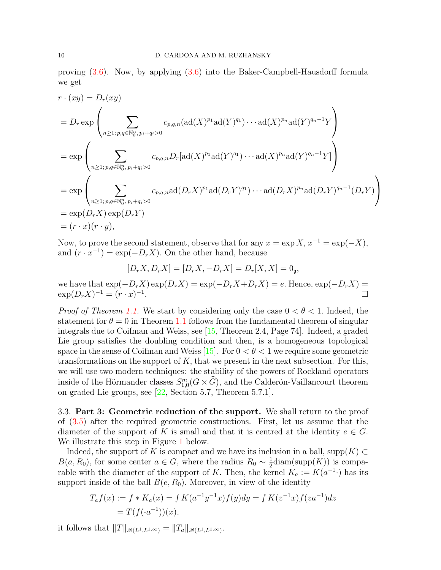proving [\(3.6\)](#page-8-1). Now, by applying [\(3.6\)](#page-8-1) into the Baker-Campbell-Hausdorff formula we get

$$
r \cdot (xy) = D_r(xy)
$$
  
=  $D_r \exp \left( \sum_{n \ge 1; p,q \in \mathbb{N}_0^n, p_i + q_i > 0} c_{p,q,n} (\text{ad}(X)^{p_1} \text{ad}(Y)^{q_1}) \cdots \text{ad}(X)^{p_n} \text{ad}(Y)^{q_n-1} Y \right)$   
=  $\exp \left( \sum_{n \ge 1; p,q \in \mathbb{N}_0^n, p_i + q_i > 0} c_{p,q,n} D_r [\text{ad}(X)^{p_1} \text{ad}(Y)^{q_1}) \cdots \text{ad}(X)^{p_n} \text{ad}(Y)^{q_n-1} Y \right)$   
=  $\exp \left( \sum_{n \ge 1; p,q \in \mathbb{N}_0^n, p_i + q_i > 0} c_{p,q,n} \text{ad}(D_r X)^{p_1} \text{ad}(D_r Y)^{q_1} \cdots \text{ad}(D_r X)^{p_n} \text{ad}(D_r Y)^{q_n-1} (D_r Y) \right)$   
=  $\exp(D_r X) \exp(D_r Y)$   
=  $(r \cdot x)(r \cdot y),$ 

Now, to prove the second statement, observe that for any  $x = \exp X, x^{-1} = \exp(-X)$ , and  $(r \cdot x^{-1}) = \exp(-D_r X)$ . On the other hand, because

$$
[D_r X, D_r X] = [D_r X, -D_r X] = D_r [X, X] = 0_g,
$$

we have that  $\exp(-D_rX)\exp(D_rX) = \exp(-D_rX+D_rX) = e$ . Hence,  $\exp(-D_rX) = e$  $\exp(D_r X)^{-1} = (r \cdot x)^{-1}$ .

*Proof of Theorem [1.1.](#page-2-0)* We start by considering only the case  $0 < \theta < 1$ . Indeed, the statement for  $\theta = 0$  in Theorem [1.1](#page-2-0) follows from the fundamental theorem of singular integrals due to Coifman and Weiss, see [\[15,](#page-20-7) Theorem 2.4, Page 74]. Indeed, a graded Lie group satisfies the doubling condition and then, is a homogeneous topological space in the sense of Coifman and Weiss [\[15\]](#page-20-7). For  $0 < \theta < 1$  we require some geometric transformations on the support of  $K$ , that we present in the next subsection. For this, we will use two modern techniques: the stability of the powers of Rockland operators inside of the Hörmander classes  $S^{m}_{1,0}(G \times \widehat{G})$ , and the Calderón-Vaillancourt theorem on graded Lie groups, see [\[22,](#page-20-2) Section 5.7, Theorem 5.7.1].

<span id="page-9-0"></span>3.3. Part 3: Geometric reduction of the support. We shall return to the proof of [\(3.5\)](#page-8-2) after the required geometric constructions. First, let us assume that the diameter of the support of K is small and that it is centred at the identity  $e \in G$ . We illustrate this step in Figure [1](#page-10-0) below.

Indeed, the support of K is compact and we have its inclusion in a ball, supp $(K) \subset$  $B(a, R_0)$ , for some center  $a \in G$ , where the radius  $R_0 \sim \frac{1}{2}$  $\frac{1}{2}$ diam(supp $(K)$ ) is comparable with the diameter of the support of K. Then, the kernel  $K_a := K(a^{-1} \cdot)$  has its support inside of the ball  $B(e, R_0)$ . Moreover, in view of the identity

$$
T_a f(x) := f * K_a(x) = \int K(a^{-1}y^{-1}x)f(y)dy = \int K(z^{-1}x)f(za^{-1})dz
$$
  
=  $T(f(a^{-1}))(x),$ 

it follows that  $||T||_{\mathscr{B}(L^1,L^{1,\infty})} = ||T_a||_{\mathscr{B}(L^1,L^{1,\infty})}$ .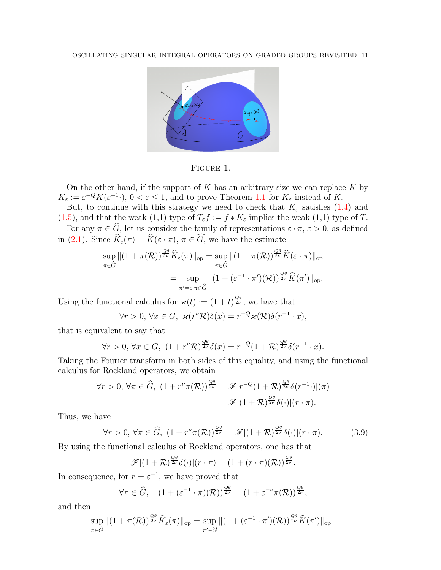<span id="page-10-0"></span>

Figure 1.

On the other hand, if the support of  $K$  has an arbitrary size we can replace  $K$  by  $K_{\varepsilon} := \varepsilon^{-Q} K(\varepsilon^{-1} \cdot), 0 < \varepsilon \leq 1$ , and to prove Theorem [1.1](#page-2-0) for  $K_{\varepsilon}$  instead of K.

But, to continue with this strategy we need to check that  $K_{\varepsilon}$  satisfies [\(1.4\)](#page-2-2) and [\(1.5\)](#page-2-1), and that the weak (1,1) type of  $T_{\varepsilon} f := f * K_{\varepsilon}$  implies the weak (1,1) type of T.

For any  $\pi \in G$ , let us consider the family of representations  $\varepsilon \cdot \pi$ ,  $\varepsilon > 0$ , as defined in [\(2.1\)](#page-5-1). Since  $K_{\varepsilon}(\pi) = K(\varepsilon \cdot \pi)$ ,  $\pi \in G$ , we have the estimate

$$
\sup_{\pi \in \widehat{G}} \|(1 + \pi(\mathcal{R}))^{\frac{Q\theta}{2\nu}} \widehat{K}_{\varepsilon}(\pi)\|_{\text{op}} = \sup_{\pi \in \widehat{G}} \|(1 + \pi(\mathcal{R}))^{\frac{Q\theta}{2\nu}} \widehat{K}(\varepsilon \cdot \pi)\|_{\text{op}}
$$

$$
= \sup_{\pi' = \varepsilon \cdot \pi \in \widehat{G}} \|(1 + (\varepsilon^{-1} \cdot \pi')(\mathcal{R}))^{\frac{Q\theta}{2\nu}} \widehat{K}(\pi')\|_{\text{op}}.
$$

Using the functional calculus for  $\varkappa(t) := (1+t)^{\frac{Q\theta}{2\nu}}$ , we have that

$$
\forall r > 0, \, \forall x \in G, \, \mathscr{A}(r^{\nu}\mathcal{R})\delta(x) = r^{-Q}\mathscr{A}(\mathcal{R})\delta(r^{-1} \cdot x),
$$

that is equivalent to say that

$$
\forall r > 0, \forall x \in G, \ (1 + r^{\nu} \mathcal{R})^{\frac{Q\theta}{2\nu}} \delta(x) = r^{-Q} (1 + \mathcal{R})^{\frac{Q\theta}{2\nu}} \delta(r^{-1} \cdot x).
$$

Taking the Fourier transform in both sides of this equality, and using the functional calculus for Rockland operators, we obtain

$$
\forall r > 0, \forall \pi \in \widehat{G}, \ (1 + r^{\nu} \pi(\mathcal{R}))^{\frac{Q\theta}{2\nu}} = \mathscr{F}[r^{-Q}(1+\mathcal{R})^{\frac{Q\theta}{2\nu}}\delta(r^{-1} \cdot)](\pi) = \mathscr{F}[(1+\mathcal{R})^{\frac{Q\theta}{2\nu}}\delta(\cdot)](r \cdot \pi).
$$

Thus, we have

<span id="page-10-1"></span>
$$
\forall r > 0, \forall \pi \in \widehat{G}, \ (1 + r^{\nu} \pi(\mathcal{R}))^{\frac{Q\theta}{2\nu}} = \mathscr{F}[(1 + \mathcal{R})^{\frac{Q\theta}{2\nu}} \delta(\cdot)](r \cdot \pi). \tag{3.9}
$$

By using the functional calculus of Rockland operators, one has that

$$
\mathscr{F}[(1+\mathcal{R})^{\frac{Q\theta}{2\nu}}\delta(\cdot)](r\cdot\pi)=(1+(r\cdot\pi)(\mathcal{R}))^{\frac{Q\theta}{2\nu}}.
$$

In consequence, for  $r = \varepsilon^{-1}$ , we have proved that

$$
\forall \pi \in \widehat{G}, \quad (1 + (\varepsilon^{-1} \cdot \pi)(\mathcal{R}))^{\frac{Q\theta}{2\nu}} = (1 + \varepsilon^{-\nu} \pi(\mathcal{R}))^{\frac{Q\theta}{2\nu}},
$$

and then

$$
\sup_{\pi \in \widehat{G}} \|(1 + \pi(\mathcal{R}))^{\frac{Q\theta}{2\nu}} \widehat{K}_{\varepsilon}(\pi)\|_{\text{op}} = \sup_{\pi' \in \widehat{G}} \|(1 + (\varepsilon^{-1} \cdot \pi')(\mathcal{R}))^{\frac{Q\theta}{2\nu}} \widehat{K}(\pi')\|_{\text{op}}
$$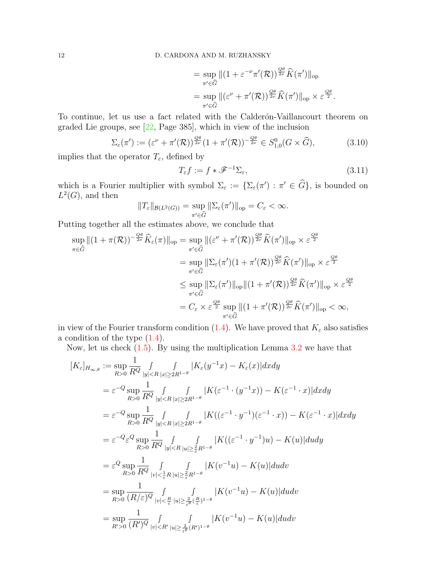$$
= \sup_{\pi' \in \widehat{G}} \|(1 + \varepsilon^{-\nu} \pi'(\mathcal{R}))^{\frac{Q\theta}{2\nu}} \widehat{K}(\pi')\|_{\text{op}}
$$
  

$$
= \sup_{\pi' \in \widehat{G}} \|( \varepsilon^{\nu} + \pi'(\mathcal{R}))^{\frac{Q\theta}{2\nu}} \widehat{K}(\pi')\|_{\text{op}} \times \varepsilon^{\frac{Q\theta}{2}}.
$$

To continue, let us use a fact related with the Calderón-Vaillancourt theorem on graded Lie groups, see [\[22,](#page-20-2) Page 385], which in view of the inclusion

$$
\Sigma_{\varepsilon}(\pi') := (\varepsilon^{\nu} + \pi'(\mathcal{R}))^{\frac{Q\theta}{2\nu}} (1 + \pi'(\mathcal{R}))^{-\frac{Q\theta}{2\nu}} \in S^0_{1,0}(G \times \widehat{G}), \tag{3.10}
$$

implies that the operator  $T_\varepsilon,$  defined by

$$
T_{\varepsilon}f := f * \mathcal{F}^{-1}\Sigma_{\varepsilon},\tag{3.11}
$$

which is a Fourier multiplier with symbol  $\Sigma_{\varepsilon} := \{\Sigma_{\varepsilon}(\pi') : \pi' \in \widehat{G}\}\)$ , is bounded on  $L^2(G)$ , and then

$$
||T_{\varepsilon}||_{\mathcal{B}(L^2(G))} = \sup_{\pi' \in \widehat{G}} ||\Sigma_{\varepsilon}(\pi')||_{\text{op}} = C_{\varepsilon} < \infty.
$$

Putting together all the estimates above, we conclude that

$$
\sup_{\pi \in \widehat{G}} \|(1 + \pi(\mathcal{R}))^{-\frac{Q\theta}{2\nu}} \widehat{K}_{\varepsilon}(\pi)\|_{\text{op}} = \sup_{\pi' \in \widehat{G}} \|( \varepsilon^{\nu} + \pi'(\mathcal{R}))^{\frac{Q\theta}{2\nu}} \widehat{K}(\pi') \|_{\text{op}} \times \varepsilon^{\frac{Q\theta}{2}} \n= \sup_{\pi' \in \widehat{G}} \|\Sigma_{\varepsilon}(\pi')(1 + \pi'(\mathcal{R}))^{\frac{Q\theta}{2\nu}} \widehat{K}(\pi') \|_{\text{op}} \times \varepsilon^{\frac{Q\theta}{2}} \n\leq \sup_{\pi' \in \widehat{G}} \|\Sigma_{\varepsilon}(\pi') \|_{\text{op}} \|(1 + \pi'(\mathcal{R}))^{\frac{Q\theta}{2\nu}} \widehat{K}(\pi') \|_{\text{op}} \times \varepsilon^{\frac{Q\theta}{2}} \n= C_{\varepsilon} \times \varepsilon^{\frac{Q\theta}{2}} \sup_{\pi' \in \widehat{G}} \|(1 + \pi'(\mathcal{R}))^{\frac{Q\theta}{2\nu}} \widehat{K}(\pi') \|_{\text{op}} < \infty,
$$

in view of the Fourier transform condition [\(1.4\)](#page-2-2). We have proved that  $K_{\varepsilon}$  also satisfies a condition of the type [\(1.4\)](#page-2-2).

Now, let us check [\(1.5\)](#page-2-1). By using the multiplication Lemma [3.2](#page-8-3) we have that

$$
[K_{\varepsilon}]_{H_{\infty,\theta}} := \sup_{R>0} \frac{1}{R^Q} \int_{|y|  
\n
$$
= \varepsilon^{-Q} \sup_{R>0} \frac{1}{R^Q} \int_{|y|  
\n
$$
= \varepsilon^{-Q} \sup_{R>0} \frac{1}{R^Q} \int_{|y|  
\n
$$
= \varepsilon^{-Q} \varepsilon^{Q} \sup_{R>0} \frac{1}{R^Q} \int_{|y|  
\n
$$
= \varepsilon^{Q} \sup_{R>0} \frac{1}{R^Q} \int_{|v|<\frac{1}{\varepsilon}R} \int_{|u|\geq \frac{2}{\varepsilon}R^{1-\theta}} |K(v^{-1}u) - K(u)| du dv
$$
  
\n
$$
= \sup_{R>0} \frac{1}{(R/\varepsilon)^Q} \int_{|v|<\frac{R}{\varepsilon}} \int_{|u|\geq \frac{2}{\varepsilon^{\theta}}(\frac{R}{\varepsilon})^{1-\theta}} |K(v^{-1}u) - K(u)| du dv
$$
  
\n
$$
= \sup_{R'>0} \frac{1}{(R')^Q} \int_{|v|
$$
$$
$$
$$
$$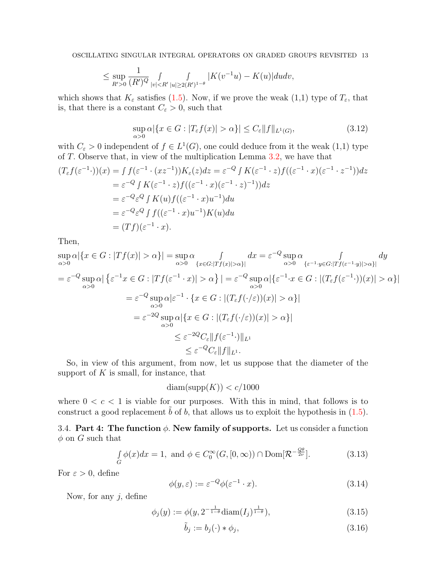$$
\leq \sup_{R'>0} \frac{1}{(R')^Q} \int_{|v| < R'|u| \geq 2(R')^{1-\theta}} |K(v^{-1}u) - K(u)| du dv,
$$

which shows that  $K_{\varepsilon}$  satisfies [\(1.5\)](#page-2-1). Now, if we prove the weak (1,1) type of  $T_{\varepsilon}$ , that is, that there is a constant  $C_{\varepsilon} > 0$ , such that

$$
\sup_{\alpha>0} \alpha |\{x \in G : |T_{\varepsilon}f(x)| > \alpha\}| \le C_{\varepsilon} \|f\|_{L^{1}(G)},
$$
\n(3.12)

with  $C_{\varepsilon} > 0$  independent of  $f \in L^1(G)$ , one could deduce from it the weak  $(1,1)$  type of T. Observe that, in view of the multiplication Lemma [3.2,](#page-8-3) we have that

$$
(T_{\varepsilon}f(\varepsilon^{-1}\cdot))(x) = \int f(\varepsilon^{-1}\cdot(xz^{-1}))K_{\varepsilon}(z)dz = \varepsilon^{-Q}\int K(\varepsilon^{-1}\cdot z)f((\varepsilon^{-1}\cdot x)(\varepsilon^{-1}\cdot z^{-1}))dz
$$
  
\n
$$
= \varepsilon^{-Q}\int K(\varepsilon^{-1}\cdot z)f((\varepsilon^{-1}\cdot x)(\varepsilon^{-1}\cdot z)^{-1}))dz
$$
  
\n
$$
= \varepsilon^{-Q}\varepsilon^{Q}\int K(u)f((\varepsilon^{-1}\cdot x)u^{-1})du
$$
  
\n
$$
= \varepsilon^{-Q}\varepsilon^{Q}\int f((\varepsilon^{-1}\cdot x)u^{-1})K(u)du
$$
  
\n
$$
= (Tf)(\varepsilon^{-1}\cdot x).
$$

Then,

$$
\sup_{\alpha>0} \alpha |\{x \in G : |Tf(x)| > \alpha\}| = \sup_{\alpha>0} \alpha \int_{\{x \in G : |Tf(x)| > \alpha\}} dx = \varepsilon^{-Q} \sup_{\alpha>0} \alpha \int_{\{\varepsilon^{-1} \cdot y \in G : |Tf(\varepsilon^{-1} \cdot y)| > \alpha\}} dy
$$
  
\n
$$
= \varepsilon^{-Q} \sup_{\alpha>0} \alpha |\{\varepsilon^{-1} x \in G : |Tf(\varepsilon^{-1} \cdot x)| > \alpha\}| = \varepsilon^{-Q} \sup_{\alpha>0} \alpha |\{\varepsilon^{-1} \cdot x \in G : |(T_{\varepsilon} f(\varepsilon^{-1} \cdot x))(x)| > \alpha\}|
$$
  
\n
$$
= \varepsilon^{-Q} \sup_{\alpha>0} \alpha |\varepsilon^{-1} \cdot \{x \in G : |(T_{\varepsilon} f(\cdot/\varepsilon))(x)| > \alpha\}|
$$
  
\n
$$
= \varepsilon^{-2Q} \sup_{\alpha>0} \alpha |\{x \in G : |(T_{\varepsilon} f(\cdot/\varepsilon))(x)| > \alpha\}|
$$
  
\n
$$
\leq \varepsilon^{-2Q} C_{\varepsilon} ||f(\varepsilon^{-1} \cdot)||_{L^{1}}
$$
  
\n
$$
\leq \varepsilon^{-Q} C_{\varepsilon} ||f||_{L^{1}}.
$$

So, in view of this argument, from now, let us suppose that the diameter of the support of  $K$  is small, for instance, that

$$
diam(supp(K)) < c/1000
$$

where  $0 < c < 1$  is viable for our purposes. With this in mind, that follows is to construct a good replacement  $b$  of  $b$ , that allows us to exploit the hypothesis in  $(1.5)$ .

<span id="page-12-0"></span>3.4. Part 4: The function  $\phi$ . New family of supports. Let us consider a function  $\phi$  on G such that

$$
\int_{G} \phi(x)dx = 1, \text{ and } \phi \in C_0^{\infty}(G, [0, \infty)) \cap \text{Dom}[\mathcal{R}^{-\frac{Q\theta}{2\nu}}].
$$
\n(3.13)

For  $\varepsilon > 0$ , define

$$
\phi(y,\varepsilon) := \varepsilon^{-Q} \phi(\varepsilon^{-1} \cdot x). \tag{3.14}
$$

Now, for any  $j$ , define

$$
\phi_j(y) := \phi(y, 2^{-\frac{1}{1-\theta}} \text{diam}(I_j)^{\frac{1}{1-\theta}}), \tag{3.15}
$$

$$
\tilde{b}_j := b_j(\cdot) * \phi_j,\tag{3.16}
$$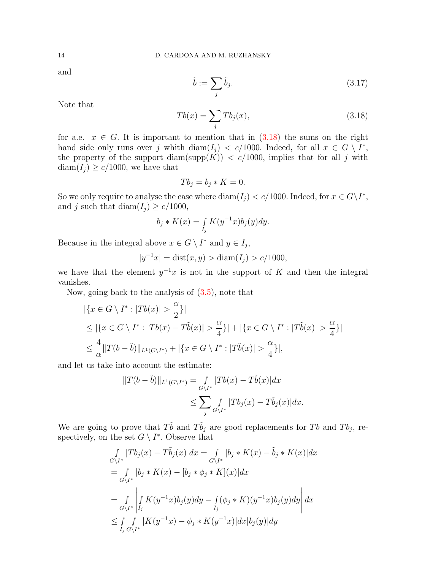and

$$
\tilde{b} := \sum_{j} \tilde{b}_{j}.\tag{3.17}
$$

Note that

<span id="page-13-0"></span>
$$
Tb(x) = \sum_{j} Tb_j(x), \qquad (3.18)
$$

for a.e.  $x \in G$ . It is important to mention that in  $(3.18)$  the sums on the right hand side only runs over j whith  $\text{diam}(I_j) < c/1000$ . Indeed, for all  $x \in G \setminus I^*$ , the property of the support diam(supp $(K)$ ) < c/1000, implies that for all j with  $\text{diam}(I_i) \geq c/1000$ , we have that

$$
Tb_j = b_j * K = 0.
$$

So we only require to analyse the case where  $\text{diam}(I_j) < c/1000$ . Indeed, for  $x \in G\backslash I^*$ , and j such that diam $(I_j) \ge c/1000$ ,

$$
b_j * K(x) = \int\limits_{I_j} K(y^{-1}x) b_j(y) dy.
$$

Because in the integral above  $x \in G \setminus I^*$  and  $y \in I_j$ ,

$$
|y^{-1}x| = \text{dist}(x, y) > \text{diam}(I_j) > c/1000,
$$

we have that the element  $y^{-1}x$  is not in the support of K and then the integral vanishes.

Now, going back to the analysis of  $(3.5)$ , note that

$$
|\{x \in G \setminus I^* : |Tb(x)| > \frac{\alpha}{2}\}|
$$
  
\n
$$
\leq |\{x \in G \setminus I^* : |Tb(x) - T\tilde{b}(x)| > \frac{\alpha}{4}\}| + |\{x \in G \setminus I^* : |T\tilde{b}(x)| > \frac{\alpha}{4}\}|
$$
  
\n
$$
\leq \frac{4}{\alpha} ||T(b - \tilde{b})||_{L^1(G \setminus I^*)} + |\{x \in G \setminus I^* : |T\tilde{b}(x)| > \frac{\alpha}{4}\}|,
$$

and let us take into account the estimate:

$$
||T(b - \tilde{b})||_{L^1(G \setminus I^*)} = \int_{G \setminus I^*} |Tb(x) - T\tilde{b}(x)| dx
$$
  

$$
\leq \sum_j \int_{G \setminus I^*} |Tb_j(x) - T\tilde{b}_j(x)| dx.
$$

We are going to prove that  $T\tilde{b}$  and  $T\tilde{b}_j$  are good replacements for Tb and Tb<sub>j</sub>, respectively, on the set  $G \setminus I^*$ . Observe that

$$
\int_{G \backslash I^*} |Tb_j(x) - T\tilde{b}_j(x)| dx = \int_{G \backslash I^*} |b_j * K(x) - \tilde{b}_j * K(x)| dx
$$
  
\n
$$
= \int_{G \backslash I^*} |b_j * K(x) - [b_j * \phi_j * K](x)| dx
$$
  
\n
$$
= \int_{G \backslash I^*} \left| \int_{I_j} K(y^{-1}x) b_j(y) dy - \int_{I_j} (\phi_j * K)(y^{-1}x) b_j(y) dy \right| dx
$$
  
\n
$$
\leq \int_{I_j} \int_{G \backslash I^*} |K(y^{-1}x) - \phi_j * K(y^{-1}x)| dx |b_j(y)| dy
$$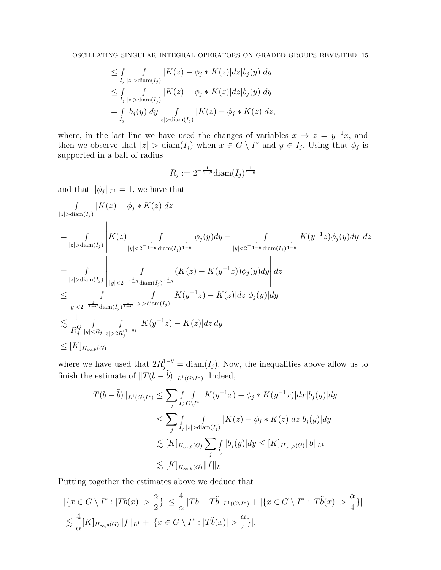$$
\leq \int_{I_j} \int_{|z| > \text{diam}(I_j)} |K(z) - \phi_j * K(z)| dz |b_j(y)| dy
$$
  
\n
$$
\leq \int_{I_j} \int_{|z| > \text{diam}(I_j)} |K(z) - \phi_j * K(z)| dz |b_j(y)| dy
$$
  
\n
$$
= \int_{I_j} |b_j(y)| dy \int_{|z| > \text{diam}(I_j)} |K(z) - \phi_j * K(z)| dz,
$$

where, in the last line we have used the changes of variables  $x \mapsto z = y^{-1}x$ , and then we observe that  $|z| > \text{diam}(I_j)$  when  $x \in G \setminus I^*$  and  $y \in I_j$ . Using that  $\phi_j$  is supported in a ball of radius

$$
R_j := 2^{-\frac{1}{1-\theta}} \text{diam}(I_j)^{\frac{1}{1-\theta}}
$$

and that  $\|\phi_j\|_{L^1} = 1$ , we have that

$$
\int_{|z| > \text{diam}(I_j)} |K(z) - \phi_j * K(z)| dz
$$
\n
$$
= \int_{|z| > \text{diam}(I_j)} \left| K(z) - \int_{|y| < 2^{-\frac{1}{1-\theta}} \text{diam}(I_j)^{\frac{1}{1-\theta}}} \phi_j(y) dy - \int_{|y| < 2^{-\frac{1}{1-\theta}} \text{diam}(I_j)^{\frac{1}{1-\theta}}} K(y^{-1}z) \phi_j(y) dy \right| dz
$$
\n
$$
= \int_{|z| > \text{diam}(I_j)} \int_{|y| < 2^{-\frac{1}{1-\theta}} \text{diam}(I_j)^{\frac{1}{1-\theta}}} (K(z) - K(y^{-1}z)) \phi_j(y) dy \right| dz
$$
\n
$$
\leq \int_{|y| < 2^{-\frac{1}{1-\theta}} \text{diam}(I_j)^{\frac{1}{1-\theta}} |z| > \text{diam}(I_j)} |K(y^{-1}z) - K(z)| dz |\phi_j(y)| dy
$$
\n
$$
\leq \frac{1}{R_j^Q} \int_{|y| < R_j} \int_{|z| > 2R_j^{(1-\theta)}} |K(y^{-1}z) - K(z)| dz dy
$$
\n
$$
\leq [K]_{H_{\infty,\theta}(G)},
$$

where we have used that  $2R_j^{1-\theta} = \text{diam}(I_j)$ . Now, the inequalities above allow us to finish the estimate of  $||T(b - \tilde{b})||_{L^1(G\setminus I^*)}$ . Indeed,

$$
||T(b - \tilde{b})||_{L^{1}(G \setminus I^{*})} \leq \sum_{j} \int_{I_{j}} \int_{G \setminus I^{*}} |K(y^{-1}x) - \phi_{j} * K(y^{-1}x)| dx |b_{j}(y)| dy
$$
  
\n
$$
\leq \sum_{j} \int_{I_{j}} \int_{|z| > \text{diam}(I_{j})} |K(z) - \phi_{j} * K(z)| dz |b_{j}(y)| dy
$$
  
\n
$$
\lesssim [K]_{H_{\infty,\theta}(G)} \sum_{j} \int_{I_{j}} |b_{j}(y)| dy \leq [K]_{H_{\infty,\theta}(G)} ||b||_{L^{1}}
$$
  
\n
$$
\lesssim [K]_{H_{\infty,\theta}(G)} ||f||_{L^{1}}.
$$

Putting together the estimates above we deduce that

$$
\left| \{ x \in G \setminus I^* : |Tb(x)| > \frac{\alpha}{2} \} \right| \le \frac{4}{\alpha} \|Tb - T\tilde{b}\|_{L^1(G \setminus I^*)} + \left| \{ x \in G \setminus I^* : |T\tilde{b}(x)| > \frac{\alpha}{4} \} \right|
$$
  

$$
\lesssim \frac{4}{\alpha} [K]_{H_{\infty,\theta}(G)} \|f\|_{L^1} + \left| \{ x \in G \setminus I^* : |T\tilde{b}(x)| > \frac{\alpha}{4} \} \right|.
$$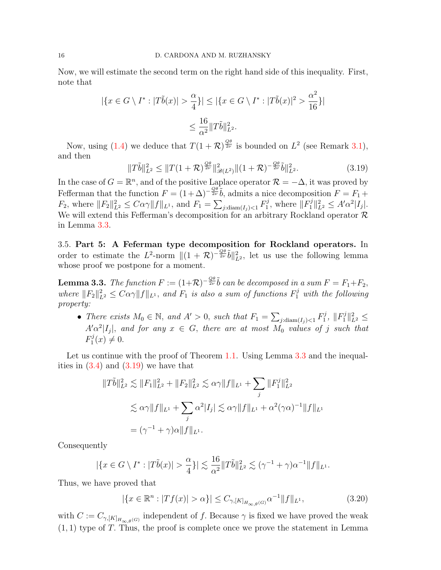Now, we will estimate the second term on the right hand side of this inequality. First, note that

$$
|\{x \in G \setminus I^* : |T\tilde{b}(x)| > \frac{\alpha}{4}\}| \le |\{x \in G \setminus I^* : |T\tilde{b}(x)|^2 > \frac{\alpha^2}{16}\}|
$$
  

$$
\le \frac{16}{\alpha^2} ||T\tilde{b}||_{L^2}^2.
$$

Now, using [\(1.4\)](#page-2-2) we deduce that  $T(1+\mathcal{R})^{\frac{Q\theta}{2\nu}}$  is bounded on  $L^2$  (see Remark [3.1\)](#page-6-3), and then

<span id="page-15-2"></span>
$$
||T\tilde{b}||_{L^{2}}^{2} \leq ||T(1+\mathcal{R})^{\frac{Q\theta}{2\nu}}||_{\mathscr{B}(L^{2})}^{2}||(1+\mathcal{R})^{-\frac{Q\theta}{2\nu}}\tilde{b}||_{L^{2}}^{2}.
$$
\n(3.19)

In the case of  $G = \mathbb{R}^n$ , and of the positive Laplace operator  $\mathcal{R} = -\Delta$ , it was proved by Fefferman that the function  $F = (1 + \Delta)^{-\frac{Q\theta}{2\nu}}\tilde{b}$ , admits a nice decomposition  $F = F_1 +$  $F_2$ , where  $||F_2||_{L^2}^2 \leq C\alpha\gamma||f||_{L^1}$ , and  $F_1 = \sum_{j:\text{diam}(I_j) < 1} F_1^j$  $\|F_1^j\|_{L^2}^2 \leq A' \alpha^2 |I_j|.$ We will extend this Fefferman's decomposition for an arbitrary Rockland operator  $\mathcal R$ in Lemma [3.3.](#page-15-1)

<span id="page-15-0"></span>3.5. Part 5: A Feferman type decomposition for Rockland operators. In order to estimate the L<sup>2</sup>-norm  $||(1 + \mathcal{R})^{-\frac{Q\theta}{2\nu}}\tilde{b}||_{L^2}^2$ , let us use the following lemma whose proof we postpone for a moment.

<span id="page-15-1"></span>**Lemma 3.3.** The function  $F := (1+\mathcal{R})^{-\frac{Q\theta}{2\nu}}\tilde{b}$  can be decomposed in a sum  $F = F_1 + F_2$ , where  $||F_2||_{L^2}^2 \leq C\alpha\gamma ||f||_{L^1}$ , and  $F_1$  is also a sum of functions  $F_1^j$  with the following property:

• There exists  $M_0 \in \mathbb{N}$ , and  $A' > 0$ , such that  $F_1 = \sum_{j:\text{diam}(I_j) < 1} F_1^j$  $\|F_1^j\|_{L^2}^2 \leq$  $A' \alpha^2 |I_j|$ , and for any  $x \in G$ , there are at most  $M_0$  values of j such that  $F_1^j$  $y_1^j(x) \neq 0.$ 

Let us continue with the proof of Theorem [1.1.](#page-2-0) Using Lemma [3.3](#page-15-1) and the inequalities in  $(3.4)$  and  $(3.19)$  we have that

$$
||T\tilde{b}||_{L^{2}}^{2} \lesssim ||F_{1}||_{L^{2}}^{2} + ||F_{2}||_{L^{2}}^{2} \lesssim \alpha\gamma||f||_{L^{1}} + \sum_{j} ||F_{1}^{j}||_{L^{2}}^{2}
$$
  

$$
\lesssim \alpha\gamma||f||_{L^{1}} + \sum_{j} \alpha^{2}|I_{j}| \lesssim \alpha\gamma||f||_{L^{1}} + \alpha^{2}(\gamma\alpha)^{-1}||f||_{L^{1}}
$$
  

$$
= (\gamma^{-1} + \gamma)\alpha||f||_{L^{1}}.
$$

Consequently

$$
|\{x \in G \setminus I^* : |T\tilde{b}(x)| > \frac{\alpha}{4}\}| \lesssim \frac{16}{\alpha^2} ||T\tilde{b}||_{L^2}^2 \lesssim (\gamma^{-1} + \gamma)\alpha^{-1} ||f||_{L^1}.
$$

Thus, we have proved that

$$
|\{x \in \mathbb{R}^n : |Tf(x)| > \alpha\}| \le C_{\gamma, [K]_{H_{\infty,\theta}(G)}} \alpha^{-1} \|f\|_{L^1},
$$
\n(3.20)

with  $C := C_{\gamma, [K]_{H_{\infty,\theta}(G)}}$  independent of f. Because  $\gamma$  is fixed we have proved the weak  $(1, 1)$  type of T. Thus, the proof is complete once we prove the statement in Lemma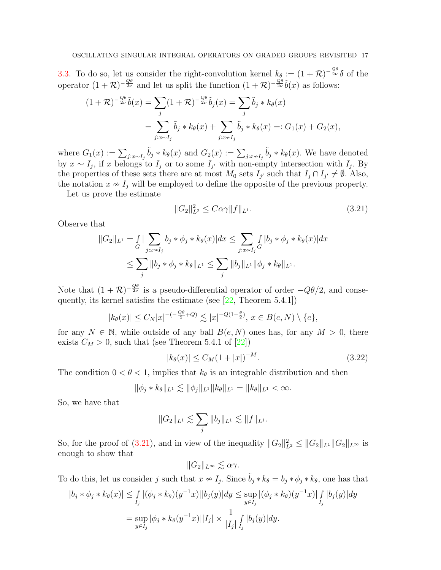[3.3.](#page-15-1) To do so, let us consider the right-convolution kernel  $k_{\theta} := (1 + \mathcal{R})^{-\frac{Q\theta}{2\nu}} \delta$  of the operator  $(1+\mathcal{R})^{-\frac{Q\theta}{2\nu}}$  and let us split the function  $(1+\mathcal{R})^{-\frac{Q\theta}{2\nu}}\tilde{b}(x)$  as follows:

$$
(1+\mathcal{R})^{-\frac{Q\theta}{2\nu}}\tilde{b}(x) = \sum_{j} (1+\mathcal{R})^{-\frac{Q\theta}{2\nu}}\tilde{b}_{j}(x) = \sum_{j} \tilde{b}_{j} * k_{\theta}(x)
$$

$$
= \sum_{j:x \sim I_{j}} \tilde{b}_{j} * k_{\theta}(x) + \sum_{j:x \sim I_{j}} \tilde{b}_{j} * k_{\theta}(x) =: G_{1}(x) + G_{2}(x),
$$

where  $G_1(x) := \sum_{j:x\sim I_j} \tilde{b}_j * k_{\theta}(x)$  and  $G_2(x) := \sum_{j:x\sim I_j} \tilde{b}_j * k_{\theta}(x)$ . We have denoted by  $x \sim I_j$ , if x belongs to  $I_j$  or to some  $I_{j'}$  with non-empty intersection with  $I_j$ . By the properties of these sets there are at most  $M_0$  sets  $I_{j'}$  such that  $I_j \cap I_{j'} \neq \emptyset$ . Also, the notation  $x \sim I_j$  will be employed to define the opposite of the previous property.

Let us prove the estimate

<span id="page-16-0"></span>
$$
||G_2||_{L^2}^2 \le C\alpha\gamma ||f||_{L^1}.
$$
\n(3.21)

Observe that

$$
||G_2||_{L^1} = \int_G |\sum_{j:x \sim I_j} b_j * \phi_j * k_{\theta}(x)| dx \le \sum_{j:x \sim I_j} \int_G |b_j * \phi_j * k_{\theta}(x)| dx
$$
  

$$
\le \sum_j ||b_j * \phi_j * k_{\theta}||_{L^1} \le \sum_j ||b_j||_{L^1} ||\phi_j * k_{\theta}||_{L^1}.
$$

Note that  $(1+\mathcal{R})^{-\frac{Q\theta}{2\nu}}$  is a pseudo-differential operator of order  $-Q\theta/2$ , and consequently, its kernel satisfies the estimate (see [\[22,](#page-20-2) Theorem 5.4.1])

$$
|k_{\theta}(x)| \leq C_N |x|^{-\left(-\frac{Q\theta}{2} + Q\right)} \lesssim |x|^{-Q(1-\frac{\theta}{2})}, x \in B(e, N) \setminus \{e\},
$$

for any  $N \in \mathbb{N}$ , while outside of any ball  $B(e, N)$  ones has, for any  $M > 0$ , there exists  $C_M > 0$ , such that (see Theorem 5.4.1 of [\[22\]](#page-20-2))

$$
|k_{\theta}(x)| \le C_M (1+|x|)^{-M}.
$$
\n(3.22)

The condition  $0 < \theta < 1$ , implies that  $k_{\theta}$  is an integrable distribution and then

$$
\|\phi_j * k_\theta\|_{L^1} \lesssim \|\phi_j\|_{L^1} \|k_\theta\|_{L^1} = \|k_\theta\|_{L^1} < \infty.
$$

So, we have that

$$
||G_2||_{L^1} \lesssim \sum_j ||b_j||_{L^1} \lesssim ||f||_{L^1}.
$$

So, for the proof of [\(3.21\)](#page-16-0), and in view of the inequality  $||G_2||^2_{L^2} \leq ||G_2||_{L^1} ||G_2||_{L^{\infty}}$  is enough to show that

 $||G_2||_{L^{\infty}} \leq \alpha \gamma$ .

To do this, let us consider j such that  $x \nsim I_j$ . Since  $\tilde{b}_j * k_{\theta} = b_j * \phi_j * k_{\theta}$ , one has that

$$
|b_j * \phi_j * k_{\theta}(x)| \leq \int_{I_j} |(\phi_j * k_{\theta})(y^{-1}x)||b_j(y)| dy \leq \sup_{y \in I_j} |(\phi_j * k_{\theta})(y^{-1}x)| \int_{I_j} |b_j(y)| dy
$$
  
= 
$$
\sup_{y \in I_j} |\phi_j * k_{\theta}(y^{-1}x)||I_j| \times \frac{1}{|I_j|} \int_{I_j} |b_j(y)| dy.
$$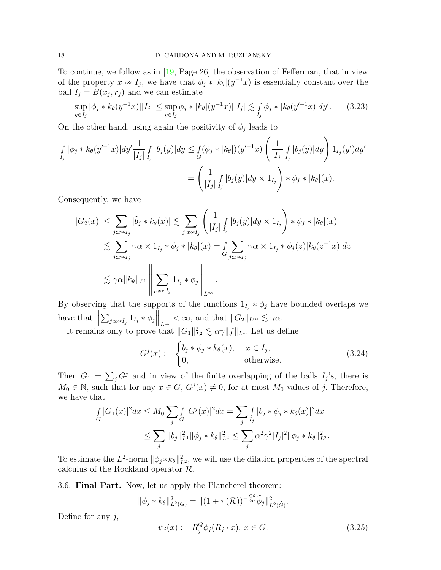To continue, we follow as in [\[19,](#page-20-0) Page 26] the observation of Fefferman, that in view of the property  $x \nsim I_j$ , we have that  $\phi_j * |k_\theta|(y^{-1}x)$  is essentially constant over the ball  $I_j = B(x_j, r_j)$  and we can estimate

$$
\sup_{y \in I_j} |\phi_j * k_\theta(y^{-1}x)||I_j| \le \sup_{y \in I_j} \phi_j * |k_\theta|(y^{-1}x)||I_j| \lesssim \int_{I_j} \phi_j * |k_\theta(y'^{-1}x)| dy'. \tag{3.23}
$$

On the other hand, using again the positivity of  $\phi_j$  leads to

$$
\int_{I_j} |\phi_j * k_{\theta}(y'^{-1}x)| dy' \frac{1}{|I_j|} \int_{I_j} |b_j(y)| dy \leq \int_G (\phi_j * |k_{\theta}|)(y'^{-1}x) \left( \frac{1}{|I_j|} \int_{I_j} |b_j(y)| dy \right) 1_{I_j}(y') dy'\n= \left( \frac{1}{|I_j|} \int_{I_j} |b_j(y)| dy \times 1_{I_j} \right) * \phi_j * |k_{\theta}|(x).
$$

Consequently, we have

$$
|G_2(x)| \leq \sum_{j:x \sim I_j} |\tilde{b}_j * k_{\theta}(x)| \lesssim \sum_{j:x \sim I_j} \left( \frac{1}{|I_j|} \int_{I_j} |b_j(y)| dy \times 1_{I_j} \right) * \phi_j * |k_{\theta}|(x)
$$
  

$$
\lesssim \sum_{j:x \sim I_j} \gamma \alpha \times 1_{I_j} * \phi_j * |k_{\theta}|(x) = \int_{G} \sum_{j:x \sim I_j} \gamma \alpha \times 1_{I_j} * \phi_j(z) |k_{\theta}(z^{-1}x)| dz
$$
  

$$
\lesssim \gamma \alpha \|k_{\theta}\|_{L^1} \left\| \sum_{j:x \sim I_j} 1_{I_j} * \phi_j \right\|_{L^{\infty}}.
$$

By observing that the supports of the functions  $1_{I_j} * \phi_j$  have bounded overlaps we have that  $\parallel$  $\sum_{j:x\sim I_j} 1_{I_j} * \phi_j \Big\|_{L^{\infty}} < \infty$ , and that  $||G_2||_{L^{\infty}} \lesssim \gamma \alpha$ .

It remains only to prove that  $||G_1||_{L^2}^2 \lesssim \alpha \gamma ||f||_{L^1}$ . Let us define

$$
G^{j}(x) := \begin{cases} b_{j} * \phi_{j} * k_{\theta}(x), & x \in I_{j}, \\ 0, & \text{otherwise.} \end{cases}
$$
 (3.24)

Then  $G_1 = \sum_j G^j$  and in view of the finite overlapping of the balls  $I_j$ 's, there is  $M_0 \in \mathbb{N}$ , such that for any  $x \in G$ ,  $G^j(x) \neq 0$ , for at most  $M_0$  values of j. Therefore, we have that

$$
\int_{G} |G_1(x)|^2 dx \leq M_0 \sum_{j} \int_{G} |G^j(x)|^2 dx = \sum_{j} \int_{I_j} |b_j * \phi_j * k_{\theta}(x)|^2 dx
$$
  

$$
\leq \sum_{j} \|b_j\|_{L^1}^2 \|\phi_j * k_{\theta}\|_{L^2}^2 \leq \sum_{j} \alpha^2 \gamma^2 |I_j|^2 \|\phi_j * k_{\theta}\|_{L^2}^2.
$$

To estimate the  $L^2$ -norm  $\|\phi_j * k_\theta\|_{L^2}^2$ , we will use the dilation properties of the spectral calculus of the Rockland operator R.

<span id="page-17-0"></span>3.6. Final Part. Now, let us apply the Plancherel theorem:

$$
\|\phi_j * k_\theta\|_{L^2(G)}^2 = \|(1 + \pi(\mathcal{R}))^{-\frac{Q\theta}{2\nu}}\widehat{\phi}_j\|_{L^2(\widehat{G})}^2.
$$

Define for any  $j$ ,

<span id="page-17-1"></span>
$$
\psi_j(x) := R_j^Q \phi_j(R_j \cdot x), \, x \in G. \tag{3.25}
$$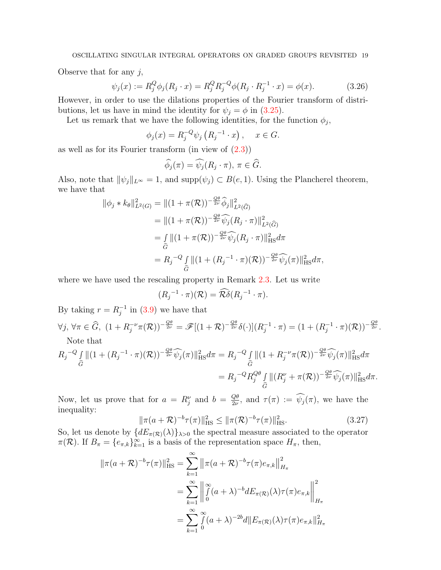Observe that for any  $j$ ,

$$
\psi_j(x) := R_j^Q \phi_j(R_j \cdot x) = R_j^Q R_j^{-Q} \phi(R_j \cdot R_j^{-1} \cdot x) = \phi(x). \tag{3.26}
$$

However, in order to use the dilations properties of the Fourier transform of distributions, let us have in mind the identity for  $\psi_j = \phi$  in [\(3.25\)](#page-17-1).

Let us remark that we have the following identities, for the function  $\phi_j$ ,

$$
\phi_j(x) = R_j^{-Q} \psi_j (R_j^{-1} \cdot x), \quad x \in G.
$$

as well as for its Fourier transform (in view of [\(2.3\)](#page-6-4))

<span id="page-18-0"></span>
$$
\widehat{\phi}_j(\pi) = \widehat{\psi}_j(R_j \cdot \pi), \ \pi \in \widehat{G}.
$$

Also, note that  $\|\psi_j\|_{L^\infty} = 1$ , and  $\text{supp}(\psi_j) \subset B(e, 1)$ . Using the Plancherel theorem, we have that

$$
\begin{split} \|\phi_j * k_\theta\|_{L^2(G)}^2 &= \|(1 + \pi(\mathcal{R}))^{-\frac{Q\theta}{2\nu}} \widehat{\phi}_j\|_{L^2(\widehat{G})}^2 \\ &= \|(1 + \pi(\mathcal{R}))^{-\frac{Q\theta}{2\nu}} \widehat{\psi}_j(R_j \cdot \pi)\|_{L^2(\widehat{G})}^2 \\ &= \int_{\widehat{G}} \|(1 + \pi(\mathcal{R}))^{-\frac{Q\theta}{2\nu}} \widehat{\psi}_j(R_j \cdot \pi)\|_{\text{HS}}^2 d\pi \\ &= R_j^{-Q} \int_{\widehat{G}} \|(1 + (R_j^{-1} \cdot \pi)(\mathcal{R}))^{-\frac{Q\theta}{2\nu}} \widehat{\psi}_j(\pi)\|_{\text{HS}}^2 d\pi, \end{split}
$$

where we have used the rescaling property in Remark [2.3.](#page-6-5) Let us write

$$
(R_j^{-1} \cdot \pi)(\mathcal{R}) = \widehat{\mathcal{R}\delta}(R_j^{-1} \cdot \pi).
$$

By taking  $r = R_i^{-1}$  $j^{-1}$  in [\(3.9\)](#page-10-1) we have that

 $\forall j, \forall \pi \in \widehat{G}, \ (1 + R_j^{-\nu} \pi(\mathcal{R}))^{-\frac{Q\theta}{2\nu}} = \mathscr{F}[(1 + \mathcal{R})^{-\frac{Q\theta}{2\nu}} \delta(\cdot)](R_j^{-1})$  $j^{-1} \cdot \pi$ ) =  $(1 + (R_j^{-1})$  $\frac{1}{j}^{-1}\cdot\pi)(\mathcal{R}))^{-\frac{Q\theta}{2\nu}}.$ Note that

$$
R_{j}^{-Q} \int_{\widehat{G}} \|(1 + (R_{j}^{-1} \cdot \pi)(\mathcal{R}))^{-\frac{Q\theta}{2\nu}} \widehat{\psi_{j}}(\pi)\|_{\text{HS}}^{2} d\pi = R_{j}^{-Q} \int_{\widehat{G}} \|(1 + R_{j}^{-\nu}\pi(\mathcal{R}))^{-\frac{Q\theta}{2\nu}} \widehat{\psi_{j}}(\pi)\|_{\text{HS}}^{2} d\pi
$$

$$
=R_j^{-Q}R_j^{Q\theta}\int\limits_{\widehat{G}}||(R_j^{\nu}+\pi(\mathcal{R}))^{-\frac{Q\theta}{2\nu}}\widehat{\psi_j}(\pi)||_{\text{HS}}^2d\pi.
$$

Now, let us prove that for  $a = R_j^{\nu}$  and  $b = \frac{Q\theta}{2\nu}$  $\frac{Q\theta}{2\nu}$ , and  $\tau(\pi) := \psi_j(\pi)$ , we have the inequality:

$$
\|\pi(a+\mathcal{R})^{-b}\tau(\pi)\|_{\text{HS}}^2 \le \|\pi(\mathcal{R})^{-b}\tau(\pi)\|_{\text{HS}}^2. \tag{3.27}
$$

So, let us denote by  $\{dE_{\pi(\mathcal{R})}(\lambda)\}\$ <sub>λ>0</sub> the spectral measure associated to the operator  $\pi(\mathcal{R})$ . If  $B_{\pi} = \{e_{\pi,k}\}_{k=1}^{\infty}$  is a basis of the representation space  $H_{\pi}$ , then,

$$
\|\pi(a+\mathcal{R})^{-b}\tau(\pi)\|_{\text{HS}}^2 = \sum_{k=1}^{\infty} \|\pi(a+\mathcal{R})^{-b}\tau(\pi)e_{\pi,k}\|_{H_{\pi}}^2
$$
  

$$
= \sum_{k=1}^{\infty} \left\|\int_{0}^{\infty} (a+\lambda)^{-b} dE_{\pi(\mathcal{R})}(\lambda)\tau(\pi)e_{\pi,k}\right\|_{H_{\pi}}^2
$$
  

$$
= \sum_{k=1}^{\infty} \int_{0}^{\infty} (a+\lambda)^{-2b} d\|E_{\pi(\mathcal{R})}(\lambda)\tau(\pi)e_{\pi,k}\|_{H_{\pi}}^2
$$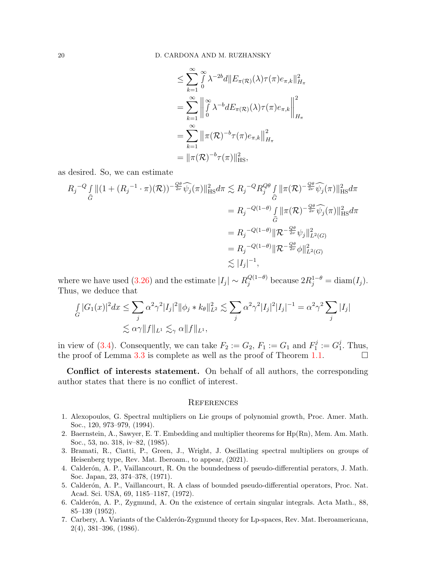$$
\leq \sum_{k=1}^{\infty} \int_{0}^{\infty} \lambda^{-2b} d||E_{\pi(\mathcal{R})}(\lambda)\tau(\pi)e_{\pi,k}||_{H_{\pi}}^{2}
$$
\n
$$
= \sum_{k=1}^{\infty} \left\| \int_{0}^{\infty} \lambda^{-b} dE_{\pi(\mathcal{R})}(\lambda)\tau(\pi)e_{\pi,k} \right\|_{H_{\pi}}^{2}
$$
\n
$$
= \sum_{k=1}^{\infty} \left\| \pi(\mathcal{R})^{-b}\tau(\pi)e_{\pi,k} \right\|_{H_{\pi}}^{2}
$$
\n
$$
= \left\| \pi(\mathcal{R})^{-b}\tau(\pi) \right\|_{\text{HS}}^{2},
$$

as desired. So, we can estimate

$$
R_{j}^{-Q} \int_{\widehat{G}} \|(1 + (R_{j}^{-1} \cdot \pi)(\mathcal{R}))^{-\frac{Q\theta}{2\nu}} \widehat{\psi_{j}}(\pi)\|_{\text{HS}}^{2} d\pi \lesssim R_{j}^{-Q} R_{j}^{Q\theta} \int_{\widehat{G}} \|\pi(\mathcal{R})^{-\frac{Q\theta}{2\nu}} \widehat{\psi_{j}}(\pi)\|_{\text{HS}}^{2} d\pi
$$
  
\n
$$
= R_{j}^{-Q(1-\theta)} \int_{\widehat{G}} \|\pi(\mathcal{R})^{-\frac{Q\theta}{2\nu}} \widehat{\psi_{j}}(\pi)\|_{\text{HS}}^{2} d\pi
$$
  
\n
$$
= R_{j}^{-Q(1-\theta)} \|\mathcal{R}^{-\frac{Q\theta}{2\nu}} \psi_{j}\|_{L^{2}(G)}^{2}
$$
  
\n
$$
= R_{j}^{-Q(1-\theta)} \|\mathcal{R}^{-\frac{Q\theta}{2\nu}} \psi\|_{L^{2}(G)}^{2}
$$
  
\n
$$
\lesssim |I_{j}|^{-1},
$$

where we have used [\(3.26\)](#page-18-0) and the estimate  $|I_j| \sim R_j^{Q(1-\theta)}$  because  $2R_j^{1-\theta} = \text{diam}(I_j)$ . Thus, we deduce that

$$
\int_{G} |G_1(x)|^2 dx \le \sum_{j} \alpha^2 \gamma^2 |I_j|^2 \|\phi_j * k_\theta\|_{L^2}^2 \lesssim \sum_{j} \alpha^2 \gamma^2 |I_j|^2 |I_j|^{-1} = \alpha^2 \gamma^2 \sum_{j} |I_j|
$$
  

$$
\lesssim \alpha \gamma \|f\|_{L^1} \lesssim_{\gamma} \alpha \|f\|_{L^1},
$$

in view of [\(3.4\)](#page-7-0). Consequently, we can take  $F_2 := G_2$ ,  $F_1 := G_1$  and  $F_1^j$  $S_1^j := G_1^j$  $j<sub>1</sub>$ . Thus, the proof of Lemma [3.3](#page-15-1) is complete as well as the proof of Theorem [1.1.](#page-2-0)

Conflict of interests statement. On behalf of all authors, the corresponding author states that there is no conflict of interest.

#### <span id="page-19-0"></span>**REFERENCES**

- 1. Alexopoulos, G. Spectral multipliers on Lie groups of polynomial growth, Proc. Amer. Math. Soc., 120, 973–979, (1994).
- 2. Baernstein, A., Sawyer, E. T. Embedding and multiplier theorems for Hp(Rn), Mem. Am. Math. Soc., 53, no. 318, iv–82, (1985).
- 3. Bramati, R., Ciatti, P., Green, J., Wright, J. Oscillating spectral multipliers on groups of Heisenberg type, Rev. Mat. Iberoam., to appear, (2021).
- 4. Calderón, A. P., Vaillancourt, R. On the boundedness of pseudo-differential perators, J. Math. Soc. Japan, 23, 374–378, (1971).
- 5. Calderón, A. P., Vaillancourt, R. A class of bounded pseudo-differential operators, Proc. Nat. Acad. Sci. USA, 69, 1185–1187, (1972).
- <span id="page-19-1"></span>6. Calder´on, A. P., Zygmund, A. On the existence of certain singular integrals. Acta Math., 88, 85–139 (1952).
- 7. Carbery, A. Variants of the Calder´on-Zygmund theory for Lp-spaces, Rev. Mat. Iberoamericana, 2(4), 381–396, (1986).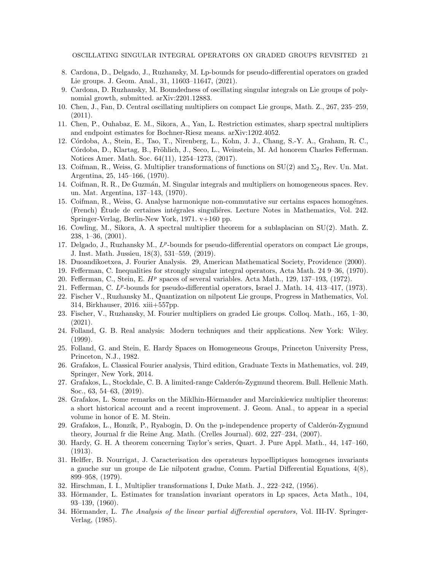- <span id="page-20-10"></span>8. Cardona, D., Delgado, J., Ruzhansky, M. Lp-bounds for pseudo-differential operators on graded Lie groups. J. Geom. Anal., 31, 11603–11647, (2021).
- <span id="page-20-9"></span>9. Cardona, D. Ruzhansky, M. Boundedness of oscillating singular integrals on Lie groups of polynomial growth, submitted. arXiv:2201.12883.
- 10. Chen, J., Fan, D. Central oscillating multipliers on compact Lie groups, Math. Z., 267, 235–259,  $(2011).$
- 11. Chen, P., Ouhabaz, E. M., Sikora, A., Yan, L. Restriction estimates, sharp spectral multipliers and endpoint estimates for Bochner-Riesz means. arXiv:1202.4052.
- 12. C´ordoba, A., Stein, E., Tao, T., Nirenberg, L., Kohn, J. J., Chang, S.-Y. A., Graham, R. C., Córdoba, D., Klartag, B., Fröhlich, J., Seco, L., Weinstein, M. Ad honorem Charles Fefferman. Notices Amer. Math. Soc. 64(11), 1254–1273, (2017).
- 13. Coifman, R., Weiss, G. Multiplier transformations of functions on  $SU(2)$  and  $\Sigma_2$ , Rev. Un. Mat. Argentina, 25, 145–166, (1970).
- 14. Coifman, R. R., De Guzmán, M. Singular integrals and multipliers on homogeneous spaces. Rev. un. Mat. Argentina, 137–143, (1970).
- <span id="page-20-7"></span>15. Coifman, R., Weiss, G. Analyse harmonique non-commutative sur certains espaces homogénes. (French) Etude de certaines intégrales singulières. Lecture Notes in Mathematics, Vol. 242. Springer-Verlag, Berlin-New York, 1971. v+160 pp.
- 16. Cowling, M., Sikora, A. A spectral multiplier theorem for a sublaplacian on SU(2). Math. Z. 238, 1–36, (2001).
- 17. Delgado, J., Ruzhansky M.,  $L^p$ -bounds for pseudo-differential operators on compact Lie groups, J. Inst. Math. Jussieu, 18(3), 531–559, (2019).
- 18. Duoandikoetxea, J. Fourier Analysis. 29, American Mathematical Society, Providence (2000).
- <span id="page-20-0"></span>19. Fefferman, C. Inequalities for strongly singular integral operators, Acta Math. 24 9–36, (1970).
- <span id="page-20-1"></span>20. Fefferman, C., Stein, E.  $H^p$  spaces of several variables. Acta Math., 129, 137-193, (1972).
- <span id="page-20-13"></span>21. Fefferman, C. L<sup>p</sup>-bounds for pseudo-differential operators, Israel J. Math. 14, 413-417, (1973).
- <span id="page-20-2"></span>22. Fischer V., Ruzhansky M., Quantization on nilpotent Lie groups, Progress in Mathematics, Vol. 314, Birkhauser, 2016. xiii+557pp.
- <span id="page-20-8"></span>23. Fischer, V., Ruzhansky, M. Fourier multipliers on graded Lie groups. Colloq. Math., 165, 1–30, (2021).
- 24. Folland, G. B. Real analysis: Modern techniques and their applications. New York: Wiley. (1999).
- <span id="page-20-3"></span>25. Folland, G. and Stein, E. Hardy Spaces on Homogeneous Groups, Princeton University Press, Princeton, N.J., 1982.
- 26. Grafakos, L. Classical Fourier analysis, Third edition, Graduate Texts in Mathematics, vol. 249, Springer, New York, 2014.
- 27. Grafakos, L., Stockdale, C. B. A limited-range Calder´on-Zygmund theorem. Bull. Hellenic Math. Soc., 63, 54–63, (2019).
- 28. Grafakos, L. Some remarks on the Miklhin-Hörmander and Marcinkiewicz multiplier theorems: a short historical account and a recent improvement. J. Geom. Anal., to appear in a special volume in honor of E. M. Stein.
- 29. Grafakos, L., Honzík, P., Ryabogin, D. On the p-independence property of Calderón-Zygmund theory, Journal fr die Reine Ang. Math. (Crelles Journal). 602, 227–234, (2007).
- <span id="page-20-11"></span>30. Hardy, G. H. A theorem concerning Taylor's series, Quart. J. Pure Appl. Math., 44, 147–160, (1913).
- <span id="page-20-6"></span>31. Helffer, B. Nourrigat, J. Caracterisation des operateurs hypoelliptiques homogenes invariants a gauche sur un groupe de Lie nilpotent gradue, Comm. Partial Differential Equations, 4(8), 899–958, (1979).
- <span id="page-20-12"></span>32. Hirschman, I. I., Multiplier transformations I, Duke Math. J., 222–242, (1956).
- <span id="page-20-5"></span>33. Hörmander, L. Estimates for translation invariant operators in Lp spaces, Acta Math., 104, 93–139, (1960).
- <span id="page-20-4"></span>34. Hörmander, L. The Analysis of the linear partial differential operators, Vol. III-IV. Springer-Verlag, (1985).